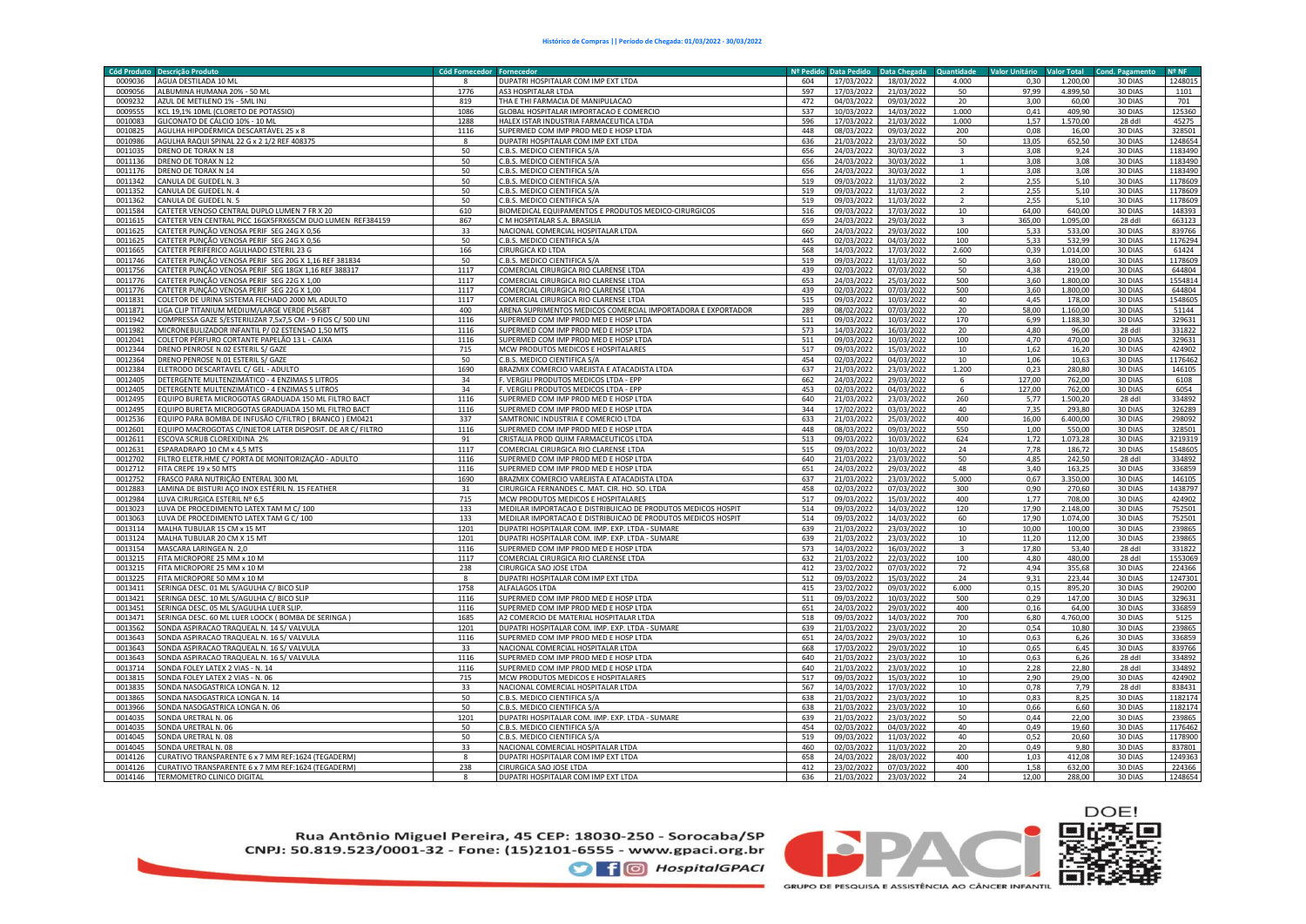| <b>Cód Produto</b> | <b>Descrição Produto</b>                                                                                      | <b>Cód Fornecedor</b> | Fornecedo                                                                    | Nº Pedido  | <b>Data Pedido</b>       | Data Chegada             | Quantidade              | <b>Valor Unitário</b> | <b>Valor Total</b> | <b>Cond. Pagament</b> | <b>Nº NF</b>      |
|--------------------|---------------------------------------------------------------------------------------------------------------|-----------------------|------------------------------------------------------------------------------|------------|--------------------------|--------------------------|-------------------------|-----------------------|--------------------|-----------------------|-------------------|
| 0009036            | AGUA DESTILADA 10 ML                                                                                          |                       | DUPATRI HOSPITALAR COM IMP EXT LTDA                                          | 604        | 17/03/2022               | 18/03/2022               | 4.000                   | 0.30                  | 1.200.00           | 30 DIAS               | 1248015           |
| 0009056            | ALBUMINA HUMANA 20% - 50 ML                                                                                   | 1776                  | <b>AS3 HOSPITALAR LTDA</b>                                                   | 597        | 17/03/2022               | 21/03/2022               | 50                      | 97.99                 | 4.899.50           | 30 DIAS               | 1101              |
| 0009232            | AZUL DE METILENO 1% - 5ML INJ                                                                                 | 819                   | THA E THI FARMACIA DE MANIPULACAO                                            | 472        | 04/03/2022               | 09/03/2022               | 20                      | 3.00                  | 60.00              | 30 DIAS               | 701               |
| 0009555            | KCL 19,1% 10ML (CLORETO DE POTASSIO)                                                                          | 1086                  | GLOBAL HOSPITALAR IMPORTACAO E COMERCIO                                      | 537        | 10/03/2022               | 14/03/2022               | 1.000                   | 0,41                  | 409,90             | 30 DIAS               | 125360            |
| 0010083            | GLICONATO DE CÁLCIO 10% - 10 ML                                                                               | 1288                  | HALEX ISTAR INDUSTRIA FARMACEUTICA LTDA                                      | 596        | 17/03/2022               | 21/03/2022               | 1.000                   | 1,57                  | 1.570.00           | 28 ddl                | 45275             |
| 0010825            | AGULHA HIPODÉRMICA DESCARTÁVEL 25 x 8                                                                         | 1116                  | SUPERMED COM IMP PROD MED E HOSP LTDA                                        | 448        | 08/03/2022               | 09/03/2022               | 200                     | 0,08                  | 16,00              | 30 DIAS               | 328501            |
| 0010986            | AGULHA RAQUI SPINAL 22 G x 2 1/2 REF 408375                                                                   | $\boldsymbol{8}$      | DUPATRI HOSPITALAR COM IMP EXT LTDA                                          | 636        | 21/03/2022               | 23/03/2022               | 50                      | 13,05                 | 652,50             | 30 DIAS               | 1248654           |
| 0011035            | DRENO DE TORAX N 18                                                                                           | 50                    | C.B.S. MEDICO CIENTIFICA S/A                                                 | 656        | 24/03/2022               | 30/03/2022               |                         | 3,08                  | 9,24               | 30 DIAS               | 1183490           |
| 0011136            | DRENO DE TORAX N 12                                                                                           | 50                    | C.B.S. MEDICO CIENTIFICA S/A                                                 | 656        | 24/03/2022               | 30/03/2022               | $\mathbf{1}$            | 3,08                  | 3,08               | 30 DIAS               | 1183490           |
| 0011176            | DRENO DE TORAX N 14                                                                                           | 50                    | C.B.S. MEDICO CIENTIFICA S/A                                                 | 656        | 24/03/2022               | 30/03/2022               | 1                       | 3,08                  | 3,08               | 30 DIAS               | 1183490           |
| 0011342            | CANULA DE GUEDEL N. 3                                                                                         | 50                    | C.B.S. MEDICO CIENTIFICA S/A                                                 | 519        | 09/03/2022               | 11/03/2022               | $\overline{2}$          | 2,55                  | 5,10               | 30 DIAS               | 1178609           |
| 0011352            | CANULA DE GUEDEL N. 4                                                                                         | 50                    | C.B.S. MEDICO CIENTIFICA S/A                                                 | 519        | 09/03/2022               | 11/03/2022               | $\overline{2}$          | 2,55                  | 5,10               | 30 DIAS               | 1178609           |
| 0011362            | CANULA DE GUEDEL N. 5                                                                                         | 50                    | C.B.S. MEDICO CIENTIFICA S/A                                                 | 519        | 09/03/2022               | 11/03/2022               | $\overline{2}$          | 2.55                  | 5,10               | 30 DIAS               | 1178609           |
| 0011584            | CATETER VENOSO CENTRAL DUPLO LUMEN 7 FR X 20                                                                  | 610                   | BIOMEDICAL EQUIPAMENTOS E PRODUTOS MEDICO-CIRURGICOS                         | 516        | 09/03/2022               | 17/03/2022               | 10                      | 64,00                 | 640,00             | 30 DIAS               | 148393            |
| 0011615            | CATETER VEN CENTRAL PICC 16GX5FRX65CM DUO LUMEN REF384159                                                     | 867                   | C M HOSPITALAR S.A. BRASILIA                                                 | 659        | 24/03/2022               | 29/03/2022               | $\overline{\mathbf{3}}$ | 365,00                | 1.095,00           | 28 ddl                | 663123            |
| 0011625            | CATETER PUNÇÃO VENOSA PERIF SEG 24G X 0,56                                                                    | 33<br>50              | NACIONAL COMERCIAL HOSPITALAR LTDA                                           | 660        | 24/03/2022               | 29/03/2022               | 100                     | 5,33<br>5,33          | 533,00             | 30 DIAS               | 839766            |
| 0011625            | CATETER PUNÇÃO VENOSA PERIF SEG 24G X 0,56                                                                    |                       | C.B.S. MEDICO CIENTIFICA S/A                                                 | 445<br>568 | 02/03/2022               | 04/03/2022               | 100                     | 0.39                  | 532,99             | 30 DIAS               | 1176294           |
| 0011665<br>0011746 | CATETER PERIFERICO AGULHADO ESTERIL 23 G                                                                      | 166                   | <b>CIRURGICA KD LTDA</b>                                                     |            | 14/03/2022               | 17/03/2022               | 2.600                   |                       | 1.014,00           | 30 DIAS               | 61424             |
| 0011756            | CATETER PUNÇÃO VENOSA PERIF SEG 20G X 1,16 REF 381834<br>CATETER PUNÇÃO VENOSA PERIF SEG 18GX 1,16 REF 388317 | 50<br>1117            | C.B.S. MEDICO CIENTIFICA S/A<br>COMERCIAL CIRURGICA RIO CLARENSE LTDA        | 519<br>439 | 09/03/2022<br>02/03/2022 | 11/03/2022<br>07/03/2022 | 50<br>50                | 3,60<br>4.38          | 180,00<br>219.00   | 30 DIAS<br>30 DIAS    | 1178609<br>644804 |
| 0011776            | CATETER PUNÇÃO VENOSA PERIF SEG 22G X 1,00                                                                    | 1117                  | COMERCIAL CIRURGICA RIO CLARENSE LTDA                                        | 653        | 24/03/2022               | 25/03/2022               | 500                     | 3,60                  | 1.800,00           | 30 DIAS               | 1554814           |
| 0011776            | CATETER PUNÇÃO VENOSA PERIF SEG 22G X 1,00                                                                    | 1117                  | COMERCIAL CIRURGICA RIO CLARENSE LTDA                                        | 439        | 02/03/2022               | 07/03/2022               | 500                     | 3,60                  | 1.800,00           | 30 DIAS               | 644804            |
| 0011831            | COLETOR DE URINA SISTEMA FECHADO 2000 ML ADULTO                                                               | 1117                  | COMERCIAL CIRURGICA RIO CLARENSE LTDA                                        | 515        | 09/03/2022               | 10/03/2022               | 40                      | 4,45                  | 178,00             | 30 DIAS               | 1548605           |
| 0011871            | LIGA CLIP TITANIUM MEDIUM/LARGE VERDE PL568T                                                                  | 400                   | ARENA SUPRIMENTOS MEDICOS COMERCIAL IMPORTADORA E EXPORTADOR                 | 289        | 08/02/2022               | 07/03/2022               | 20                      | 58,00                 | 1.160,00           | 30 DIAS               | 51144             |
| 0011942            | COMPRESSA GAZE S/ESTERILIZAR 7,5x7,5 CM - 9 FIOS C/ 500 UNI                                                   | 1116                  | SUPERMED COM IMP PROD MED E HOSP LTDA                                        | 511        | 09/03/2022               | 10/03/2022               | 170                     | 6,99                  | 1.188,30           | 30 DIAS               | 329631            |
| 0011982            | MICRONEBULIZADOR INFANTIL P/ 02 ESTENSAO 1,50 MTS                                                             | 1116                  | SUPERMED COM IMP PROD MED E HOSP LTDA                                        | 573        | 14/03/2022               | 16/03/2022               | 20                      | 4,80                  | 96,00              | 28 ddl                | 331822            |
| 0012041            | COLETOR PÉRFURO CORTANTE PAPELÃO 13 L - CAIXA                                                                 | 1116                  | SUPERMED COM IMP PROD MED E HOSP LTDA                                        | 511        | 09/03/2022               | 10/03/2022               | 100                     | 4,70                  | 470,00             | 30 DIAS               | 329631            |
| 0012344            | DRENO PENROSE N.02 ESTERIL S/ GAZE                                                                            | 715                   | MCW PRODUTOS MEDICOS E HOSPITALARES                                          | 517        | 09/03/2022               | 15/03/2022               | 10                      | 1,62                  | 16,20              | 30 DIAS               | 424902            |
| 0012364            | DRENO PENROSE N.01 ESTERIL S/ GAZE                                                                            | 50                    | C.B.S. MEDICO CIENTIFICA S/A                                                 | 454        | 02/03/2022               | 04/03/2022               | 10                      | 1,06                  | 10,63              | 30 DIAS               | 1176462           |
| 0012384            | ELETRODO DESCARTAVEL C/ GEL - ADULTO                                                                          | 1690                  | BRAZMIX COMERCIO VAREJISTA E ATACADISTA LTDA                                 | 637        | 21/03/2022               | 23/03/2022               | 1.200                   | 0,23                  | 280,80             | 30 DIAS               | 146105            |
| 0012405            | DETERGENTE MULTENZIMÁTICO - 4 ENZIMAS 5 LITROS                                                                | 34                    | F. VERGILI PRODUTOS MEDICOS LTDA - EPP                                       | 662        | 24/03/2022               | 29/03/2022               | 6                       | 127,00                | 762,00             | 30 DIAS               | 6108              |
| 0012405            | DETERGENTE MULTENZIMÁTICO - 4 ENZIMAS 5 LITROS                                                                | 34                    | F. VERGILI PRODUTOS MEDICOS LTDA - EPP                                       | 453        | 02/03/2022               | 04/03/2022               | -6                      | 127,00                | 762,00             | 30 DIAS               | 6054              |
| 0012495            | EQUIPO BURETA MICROGOTAS GRADUADA 150 ML FILTRO BACT                                                          | 1116                  | SUPERMED COM IMP PROD MED E HOSP LTDA                                        | 640        | 21/03/2022               | 23/03/2022               | 260                     | 5,77                  | 1.500,20           | 28 ddl                | 334892            |
| 0012495            | EQUIPO BURETA MICROGOTAS GRADUADA 150 ML FILTRO BACT                                                          | 1116                  | SUPERMED COM IMP PROD MED E HOSP LTDA                                        | 344        | 17/02/2022               | 03/03/2022               | 40                      | 7,35                  | 293.80             | 30 DIAS               | 326289            |
| 0012536            | EQUIPO PARA BOMBA DE INFUSÃO C/FILTRO (BRANCO) EM0421                                                         | 337                   | SAMTRONIC INDUSTRIA E COMERCIO LTDA                                          | 633        | 21/03/2022               | 25/03/2022               | 400                     | 16.00                 | 6.400.00           | 30 DIAS               | 298092            |
| 0012601            | EQUIPO MACROGOTAS C/INJETOR LATER DISPOSIT. DE AR C/ FILTRO                                                   | 1116                  | SUPERMED COM IMP PROD MED E HOSP LTDA                                        | 448        | 08/03/2022               | 09/03/2022               | 550                     | 1,00                  | 550,00             | 30 DIAS               | 328501            |
| 0012611            | ESCOVA SCRUB CLOREXIDINA 2%                                                                                   | 91                    | CRISTALIA PROD QUIM FARMACEUTICOS LTDA                                       | 513        | 09/03/2022               | 10/03/2022               | 624                     | 1,72                  | 1.073,28           | 30 DIAS               | 3219319           |
| 0012631            | ESPARADRAPO 10 CM x 4,5 MTS                                                                                   | 1117                  | COMERCIAL CIRURGICA RIO CLARENSE LTDA                                        | 515        | 09/03/2022               | 10/03/2022               | 24                      | 7,78                  | 186,72             | 30 DIAS               | 1548605           |
| 0012702            | FILTRO ELETR.HME C/ PORTA DE MONITORIZAÇÃO - ADULTO                                                           | 1116                  | SUPERMED COM IMP PROD MED E HOSP LTDA                                        | 640        | 21/03/2022               | 23/03/2022               | 50                      | 4.85                  | 242.50             | 28 ddl                | 334892            |
| 0012712            | FITA CREPE 19 x 50 MTS                                                                                        | 1116                  | SUPERMED COM IMP PROD MED E HOSP LTDA                                        | 651        | 24/03/2022               | 29/03/2022               | 48                      | 3,40                  | 163,25             | 30 DIAS               | 336859            |
| 0012752            | FRASCO PARA NUTRIÇÃO ENTERAL 300 ML                                                                           | 1690                  | BRAZMIX COMERCIO VAREJISTA E ATACADISTA LTDA                                 | 637        | 21/03/2022               | 23/03/2022               | 5.000                   | 0.67                  | 3.350.00           | 30 DIAS               | 146105            |
| 0012883            | LAMINA DE BISTURI AÇO INOX ESTÉRIL N. 15 FEATHER                                                              | 31                    | CIRURGICA FERNANDES C. MAT. CIR. HO. SO. LTDA                                | 458        | 02/03/2022               | 07/03/2022               | 300                     | 0,90                  | 270,60             | 30 DIAS               | 1438797           |
| 0012984            | LUVA CIRURGICA ESTERIL Nº 6,5                                                                                 | 715                   | MCW PRODUTOS MEDICOS E HOSPITALARES                                          | 517        | 09/03/2022               | 15/03/2022               | 400                     | 1,77                  | 708,00             | 30 DIAS               | 424902            |
| 0013023            | LUVA DE PROCEDIMENTO LATEX TAM M C/ 100                                                                       | 133                   | MEDILAR IMPORTACAO E DISTRIBUICAO DE PRODUTOS MEDICOS HOSPIT                 | 514        | 09/03/2022               | 14/03/2022               | 120                     | 17,90                 | 2.148,00           | 30 DIAS               | 752501            |
| 0013063            | LUVA DE PROCEDIMENTO LATEX TAM G C/100                                                                        | 133                   | MEDILAR IMPORTACAO E DISTRIBUICAO DE PRODUTOS MEDICOS HOSPIT                 | 514        | 09/03/2022               | 14/03/2022               | 60                      | 17,90                 | 1.074,00           | 30 DIAS               | 752501            |
| 0013114            | MALHA TUBULAR 15 CM x 15 MT                                                                                   | 1201                  | DUPATRI HOSPITALAR COM. IMP. EXP. LTDA - SUMARE                              | 639        | 21/03/2022               | 23/03/2022               | 10                      | 10,00                 | 100,00             | 30 DIAS               | 239865            |
| 0013124            | MALHA TUBULAR 20 CM X 15 MT                                                                                   | 1201                  | DUPATRI HOSPITALAR COM. IMP. EXP. LTDA - SUMARE                              | 639        | 21/03/2022               | 23/03/2022               | 10                      | 11.20                 | 112.00             | 30 DIAS               | 239865            |
| 0013154            | MASCARA LARINGEA N. 2,0                                                                                       | 1116                  | SUPERMED COM IMP PROD MED E HOSP LTDA                                        | 573        | 14/03/2022               | 16/03/2022               | 3                       | 17,80                 | 53,40              | 28 ddl                | 331822            |
| 0013215            | FITA MICROPORE 25 MM x 10 M                                                                                   | 1117                  | COMERCIAL CIRURGICA RIO CLARENSE LTDA                                        | 632        | 21/03/2022               | 22/03/2022               | 100                     | 4,80                  | 480,00             | 28 ddl                | 1553069           |
| 0013215            | FITA MICROPORE 25 MM x 10 M                                                                                   | 238                   | CIRURGICA SAO JOSE LTDA                                                      | 412        | 23/02/2022               | 07/03/2022               | 72                      | 4,94                  | 355,68             | 30 DIAS               | 224366            |
| 0013225            | FITA MICROPORE 50 MM x 10 M                                                                                   | 8                     | DUPATRI HOSPITALAR COM IMP EXT LTDA                                          | 512        | 09/03/2022               | 15/03/2022               | 24                      | 9,31                  | 223,44             | 30 DIAS               | 1247301           |
| 0013411            | SERINGA DESC. 01 ML S/AGULHA C/ BICO SLIP                                                                     | 1758                  | ALFALAGOS LTDA                                                               | 415        | 23/02/2022               | 09/03/2022               | 6.000                   | 0,15                  | 895,20             | 30 DIAS               | 290200            |
| 0013421            | SERINGA DESC. 10 ML S/AGULHA C/ BICO SLIP                                                                     | 1116                  | SUPERMED COM IMP PROD MED E HOSP LTDA                                        | 511        | 09/03/2022               | 10/03/2022               | 500                     | 0,29                  | 147,00             | 30 DIAS               | 329631            |
| 0013451            | SERINGA DESC. 05 ML S/AGULHA LUER SLIP.                                                                       | 1116                  | SUPERMED COM IMP PROD MED E HOSP LTDA                                        | 651        | 24/03/2022               | 29/03/2022               | 400                     | 0,16                  | 64.00              | 30 DIAS               | 336859            |
| 0013471            | SERINGA DESC. 60 ML LUER LOOCK (BOMBA DE SERINGA)                                                             | 1685                  | A2 COMERCIO DE MATERIAL HOSPITALAR LTDA                                      | 518        | 09/03/2022               | 14/03/2022               | 700                     | 6,80                  | 4.760,00           | 30 DIAS               | 5125              |
| 0013562            | SONDA ASPIRACAO TRAQUEAL N. 14 S/ VALVULA                                                                     | 1201                  | DUPATRI HOSPITALAR COM. IMP. EXP. LTDA - SUMARE                              | 639        | 21/03/2022               | 23/03/2022               | 20                      | 0.54                  | 10,80              | 30 DIAS               | 239865            |
| 0013643            | SONDA ASPIRACAO TRAQUEAL N. 16 S/ VALVULA                                                                     | 1116                  | SUPERMED COM IMP PROD MED E HOSP LTDA                                        | 651        | 24/03/2022               | 29/03/2022               | 10                      | 0,63                  | 6,26               | 30 DIAS               | 336859            |
| 0013643<br>0013643 | SONDA ASPIRACAO TRAQUEAL N. 16 S/ VALVULA<br>SONDA ASPIRACAO TRAQUEAL N. 16 S/ VALVULA                        | 33<br>1116            | NACIONAL COMERCIAL HOSPITALAR LTDA<br>SUPERMED COM IMP PROD MED E HOSP LTDA  | 668<br>640 | 17/03/2022<br>21/03/2022 | 29/03/2022<br>23/03/2022 | 10                      | 0,65<br>0,63          | 6,45<br>6,26       | 30 DIAS<br>28 ddl     | 839766<br>334892  |
|                    |                                                                                                               |                       |                                                                              |            |                          |                          | 10                      |                       |                    |                       |                   |
| 0013714<br>0013815 | SONDA FOLEY LATEX 2 VIAS - N. 14<br>SONDA FOLEY LATEX 2 VIAS - N. 06                                          | 1116<br>715           | SUPERMED COM IMP PROD MED E HOSP LTDA<br>MCW PRODUTOS MEDICOS E HOSPITALARES | 640<br>517 | 21/03/2022<br>09/03/2022 | 23/03/2022               | 10                      | 2.28<br>2,90          | 22.80<br>29,00     | 28 ddl<br>30 DIAS     | 334892<br>424902  |
| 0013835            | SONDA NASOGASTRICA LONGA N. 12                                                                                |                       | NACIONAL COMERCIAL HOSPITALAR LTDA                                           | 567        | 14/03/2022               | 15/03/2022               | 10<br>10                | 0,78                  |                    | 28 ddl                | 838431            |
| 0013865            | SONDA NASOGASTRICA LONGA N. 14                                                                                | 33<br>50              | C.B.S. MEDICO CIENTIFICA S/A                                                 | 638        | 21/03/2022               | 17/03/2022<br>23/03/2022 | 10                      | 0,83                  | 7,79<br>8,25       | 30 DIAS               | 1182174           |
| 0013966            | SONDA NASOGASTRICA LONGA N. 06                                                                                | 50                    | C.B.S. MEDICO CIENTIFICA S/A                                                 | 638        | 21/03/2022               | 23/03/2022               | 10                      | 0,66                  | 6,60               | 30 DIAS               | 1182174           |
| 0014035            | SONDA URETRAL N. 06                                                                                           | 1201                  | DUPATRI HOSPITALAR COM. IMP. EXP. LTDA - SUMARE                              | 639        | 21/03/2022               | 23/03/2022               | 50                      | 0,44                  | 22,00              | 30 DIAS               | 239865            |
| 0014035            | SONDA URETRAL N. 06                                                                                           | 50                    | C.B.S. MEDICO CIENTIFICA S/A                                                 | 454        | 02/03/2022               | 04/03/2022               | 40                      | 0,49                  | 19,60              | 30 DIAS               | 1176462           |
| 0014045            | SONDA URETRAL N. 08                                                                                           | 50                    | C.B.S. MEDICO CIENTIFICA S/A                                                 | 519        | 09/03/2022               | 11/03/2022               | 40                      | 0,52                  | 20,60              | 30 DIAS               | 1178900           |
| 0014045            | SONDA URETRAL N. 08                                                                                           | 33                    | NACIONAL COMERCIAL HOSPITALAR LTDA                                           | 460        | 02/03/2022               | 11/03/2022               | 20                      | 0,49                  | 9,80               | 30 DIAS               | 837801            |
| 0014126            | CURATIVO TRANSPARENTE 6 x 7 MM REF:1624 (TEGADERM)                                                            | $\mathbf{R}$          | DUPATRI HOSPITALAR COM IMP EXT LTDA                                          | 658        | 24/03/2022               | 28/03/2022               | 400                     | 1,03                  | 412.08             | 30 DIAS               | 1249363           |
| 0014126            | CURATIVO TRANSPARENTE 6 x 7 MM REF:1624 (TEGADERM)                                                            | 238                   | CIRURGICA SAO JOSE LTDA                                                      | 412        | 23/02/2022               | 07/03/2022               | 400                     | 1,58                  | 632,00             | 30 DIAS               | 224366            |
| 0014146            | TERMOMETRO CLINICO DIGITAL                                                                                    |                       | DUPATRI HOSPITALAR COM IMP EXT LTDA                                          | 636        | 21/03/2022               | 23/03/2022               | 24                      | 12.00                 | 288,00             | 30 DIAS               | 1248654           |

Rua Antônio Miguel Pereira, 45 CEP: 18030-250 - Sorocaba/SP CNPJ: 50.819.523/0001-32 - Fone: (15)2101-6555 - www.gpaci.org.br

**O** f © HospitalGPACI

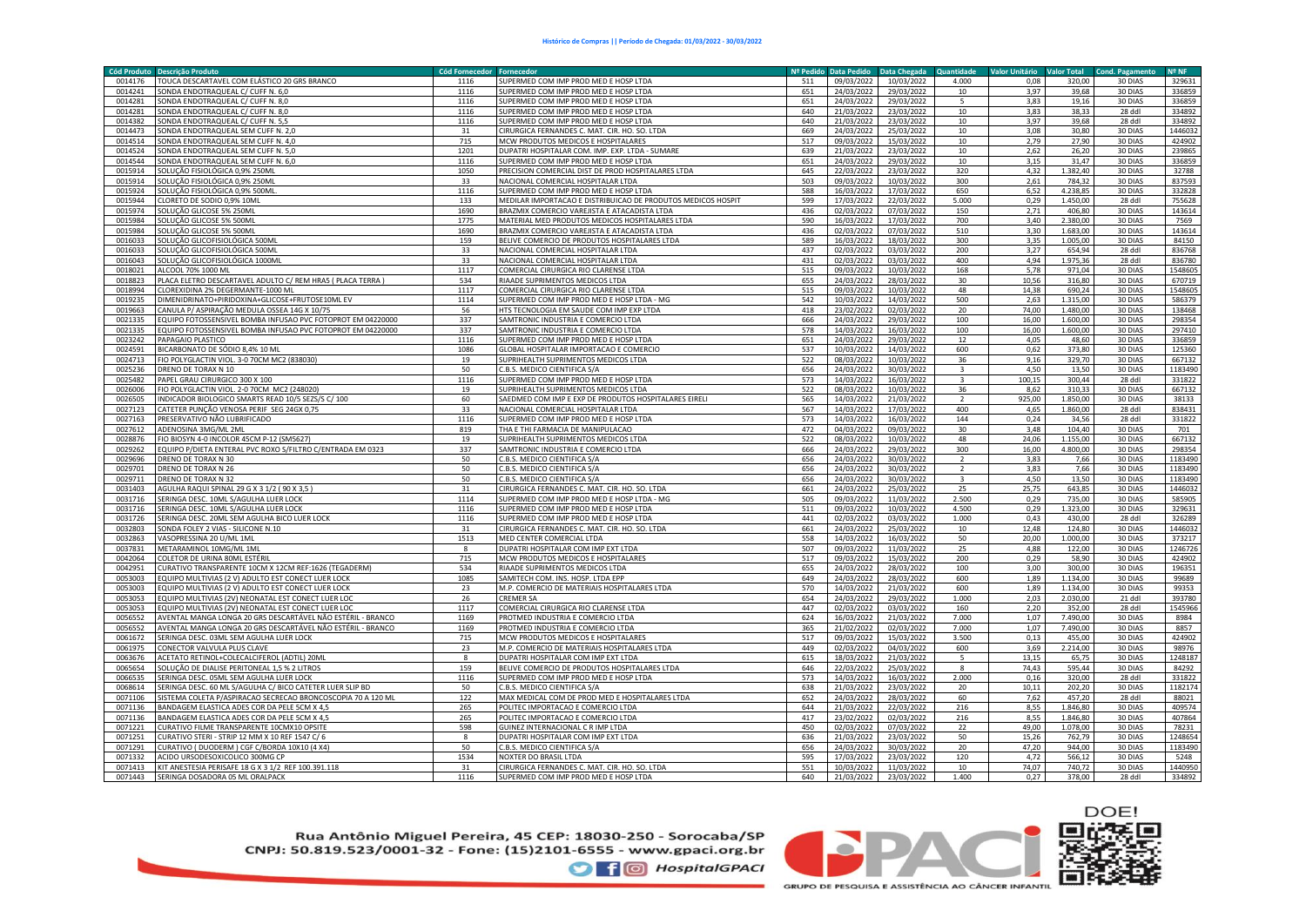|         | Cód Produto Descrição Produto                                | Cód Fornecedor Fornecedor |                                                              | Nº Pedido | <b>Data Pedido</b> | Data Chegada | Quantidade              | <b>Valor Unitário</b> | <b>Valor Total</b> | <b>Cond. Pagamento</b> | <b>Nº NF</b> |
|---------|--------------------------------------------------------------|---------------------------|--------------------------------------------------------------|-----------|--------------------|--------------|-------------------------|-----------------------|--------------------|------------------------|--------------|
| 0014176 | TOUCA DESCARTAVEL COM ELÁSTICO 20 GRS BRANCO                 | 1116                      | SUPERMED COM IMP PROD MED E HOSP LTDA                        | 511       | 09/03/2022         | 10/03/2022   | 4.000                   | 0.08                  | 320,00             | 30 DIAS                | 329631       |
| 0014241 | SONDA ENDOTRAQUEAL C/ CUFF N. 6,0                            | 1116                      | SUPERMED COM IMP PROD MED E HOSP LTDA                        | 651       | 24/03/2022         | 29/03/2022   | 10                      | 3,97                  | 39,68              | 30 DIAS                | 336859       |
| 0014281 | SONDA ENDOTRAQUEAL C/ CUFF N. 8.0                            | 1116                      | SUPERMED COM IMP PROD MED E HOSP LTDA                        | 651       | 24/03/2022         | 29/03/2022   | 5                       | 3,83                  | 19.16              | 30 DIAS                | 336859       |
| 0014281 | SONDA ENDOTRAQUEAL C/ CUFF N. 8,0                            | 1116                      | SUPERMED COM IMP PROD MED E HOSP LTDA                        | 640       | 21/03/2022         | 23/03/2022   | 10                      | 3,83                  | 38,33              | 28 ddl                 | 334892       |
| 0014382 | SONDA ENDOTRAQUEAL C/ CUFF N. 5,5                            | 1116                      | SUPERMED COM IMP PROD MED E HOSP LTDA                        | 640       | 21/03/2022         | 23/03/2022   | 10                      | 3,97                  | 39,68              | 28 ddl                 | 334892       |
| 0014473 | SONDA ENDOTRAQUEAL SEM CUFF N. 2,0                           | 31                        | CIRURGICA FERNANDES C. MAT. CIR. HO. SO. LTDA                | 669       | 24/03/2022         | 25/03/2022   | 10                      | 3,08                  | 30,80              | 30 DIAS                | 1446032      |
| 0014514 | SONDA ENDOTRAQUEAL SEM CUFF N. 4,0                           | 715                       | MCW PRODUTOS MEDICOS E HOSPITALARES                          | 517       | 09/03/2022         | 15/03/2022   | 10                      | 2,79                  | 27,90              | 30 DIAS                | 424902       |
| 0014524 | SONDA ENDOTRAQUEAL SEM CUFF N. 5,0                           | 1201                      | DUPATRI HOSPITALAR COM. IMP. EXP. LTDA - SUMARE              | 639       | 21/03/2022         | 23/03/2022   | 10                      | 2,62                  | 26,20              | 30 DIAS                | 239865       |
| 0014544 | SONDA ENDOTRAQUEAL SEM CUFF N. 6,0                           | 1116                      | SUPERMED COM IMP PROD MED E HOSP LTDA                        | 651       | 24/03/2022         | 29/03/2022   | 10                      | 3,15                  | 31,47              | 30 DIAS                | 336859       |
| 0015914 | SOLUÇÃO FISIOLÓGICA 0,9% 250ML                               | 1050                      | PRECISION COMERCIAL DIST DE PROD HOSPITALARES LTDA           | 645       | 22/03/2022         | 23/03/2022   | 320                     | 4,32                  | 1.382,40           | 30 DIAS                | 32788        |
| 0015914 |                                                              | 33                        | NACIONAL COMERCIAL HOSPITALAR LTDA                           | 503       | 09/03/2022         |              | 300                     |                       | 784,32             | 30 DIAS                | 837593       |
|         | SOLUÇÃO FISIOLÓGICA 0,9% 250ML                               | 1116                      |                                                              | 588       | 16/03/2022         | 10/03/2022   |                         | 2,61                  | 4.238,85           |                        | 332828       |
| 0015924 | SOLUÇÃO FISIOLÓGICA 0,9% 500ML                               |                           | SUPERMED COM IMP PROD MED E HOSP LTDA                        |           |                    | 17/03/2022   | 650                     | 6,52                  |                    | 30 DIAS                |              |
| 0015944 | CLORETO DE SODIO 0,9% 10ML                                   | 133                       | MEDILAR IMPORTACAO E DISTRIBUICAO DE PRODUTOS MEDICOS HOSPIT | 599       | 17/03/2022         | 22/03/2022   | 5.000                   | 0,29                  | 1.450,00           | 28 ddl                 | 755628       |
| 0015974 | SOLUÇÃO GLICOSE 5% 250ML                                     | 1690                      | BRAZMIX COMERCIO VAREJISTA E ATACADISTA LTDA                 | 436       | 02/03/2022         | 07/03/2022   | 150                     | 2.71                  | 406,80             | 30 DIAS                | 143614       |
| 0015984 | SOLUÇÃO GLICOSE 5% 500ML                                     | 1775                      | MATERIAL MED PRODUTOS MEDICOS HOSPITALARES LTDA              | 590       | 16/03/2022         | 17/03/2022   | 700                     | 3,40                  | 2.380,00           | 30 DIAS                | 7569         |
| 0015984 | SOLUÇÃO GLICOSE 5% 500ML                                     | 1690                      | BRAZMIX COMERCIO VAREJISTA E ATACADISTA LTDA                 | 436       | 02/03/2022         | 07/03/2022   | 510                     | 3,30                  | 1.683,00           | 30 DIAS                | 143614       |
| 0016033 | SOLUÇÃO GLICOFISIOLÓGICA 500ML                               | 159                       | BELIVE COMERCIO DE PRODUTOS HOSPITALARES LTDA                | 589       | 16/03/2022         | 18/03/2022   | 300                     | 3,35                  | 1.005,00           | 30 DIAS                | 84150        |
| 0016033 | SOLUÇÃO GLICOFISIOLÓGICA 500ML                               | 33                        | NACIONAL COMERCIAL HOSPITALAR LTDA                           | 437       | 02/03/2022         | 03/03/2022   | 200                     | 3,27                  | 654,94             | 28 ddl                 | 836768       |
| 0016043 | SOLUÇÃO GLICOFISIOLÓGICA 1000MI                              | 33                        | NACIONAL COMERCIAL HOSPITALAR LTDA                           | 431       | 02/03/2022         | 03/03/2022   | 400                     | 4,94                  | 1.975,36           | 28 ddl                 | 836780       |
| 0018021 | ALCOOL 70% 1000 ML                                           | 1117                      | COMERCIAL CIRURGICA RIO CLARENSE LTDA                        | 515       | 09/03/2022         | 10/03/2022   | 168                     | 5,78                  | 971,04             | 30 DIAS                | 1548605      |
| 0018823 | PLACA ELETRO DESCARTAVEL ADULTO C/ REM HRA5 ( PLACA TERRA )  | 534                       | RIAADE SUPRIMENTOS MEDICOS LTDA                              | 655       | 24/03/2022         | 28/03/2022   | 30                      | 10,56                 | 316,80             | 30 DIAS                | 670719       |
| 0018994 | CLOREXIDINA 2% DEGERMANTE-1000 ML                            | 1117                      | COMERCIAL CIRURGICA RIO CLARENSE LTDA                        | 515       | 09/03/2022         | 10/03/2022   | 48                      | 14,38                 | 690,24             | 30 DIAS                | 154860       |
| 0019235 | DIMENIDRINATO+PIRIDOXINA+GLICOSE+FRUTOSE10ML EV              | 1114                      | SUPERMED COM IMP PROD MED E HOSP LTDA - MG                   | 542       | 10/03/2022         | 14/03/2022   | 500                     | 2,63                  | 1.315,00           | 30 DIAS                | 586379       |
| 0019663 | CANULA P/ ASPIRAÇÃO MEDULA OSSEA 14G X 10/75                 | 56                        | HTS TECNOLOGIA EM SAUDE COM IMP EXP LTDA                     | 418       | 23/02/2022         | 02/03/2022   | 20                      | 74,00                 | 1.480,00           | 30 DIAS                | 138468       |
| 0021335 | EQUIPO FOTOSSENSIVEL BOMBA INFUSAO PVC FOTOPROT EM 04220000  | 337                       | SAMTRONIC INDUSTRIA E COMERCIO LTDA                          | 666       | 24/03/2022         | 29/03/2022   | 100                     | 16,00                 | 1.600,00           | 30 DIAS                | 298354       |
| 0021335 | EQUIPO FOTOSSENSIVEL BOMBA INFUSAO PVC FOTOPROT EM 04220000  | 337                       | SAMTRONIC INDUSTRIA E COMERCIO LTDA                          | 578       | 14/03/2022         | 16/03/2022   | 100                     | 16,00                 | 1.600,00           | 30 DIAS                | 297410       |
| 0023242 | PAPAGAIO PLASTICO                                            | 1116                      | SUPERMED COM IMP PROD MED E HOSP LTD/                        | 651       | 24/03/2022         | 29/03/2022   | 12                      | 4,05                  | 48,60              | 30 DIAS                | 336859       |
| 0024591 | BICARBONATO DE SÓDIO 8,4% 10 ML                              | 1086                      | GLOBAL HOSPITALAR IMPORTACAO E COMERCIO                      | 537       | 10/03/2022         | 14/03/2022   | 600                     | 0,62                  | 373,80             | 30 DIAS                | 125360       |
| 0024713 | FIO POLYGLACTIN VIOL. 3-0 70CM MC2 (838030)                  | 19                        | SUPRIHEALTH SUPRIMENTOS MEDICOS LTDA                         | 522       | 08/03/2022         | 10/03/2022   | 36                      | 9,16                  | 329,70             | 30 DIAS                | 667132       |
| 0025236 | DRENO DE TORAX N 10                                          | 50                        | .B.S. MEDICO CIENTIFICA S/A                                  | 656       | 24/03/2022         | 30/03/2022   | $\overline{\mathbf{a}}$ | 4,50                  | 13,50              | 30 DIAS                | 1183490      |
|         |                                                              |                           |                                                              | 573       |                    |              | $\overline{3}$          |                       |                    |                        |              |
| 0025482 | PAPEL GRAU CIRURGICO 300 X 100                               | 1116                      | SUPERMED COM IMP PROD MED E HOSP LTDA                        |           | 14/03/2022         | 16/03/2022   |                         | 100,15                | 300,44             | 28 ddl                 | 331822       |
| 0026006 | FIO POLYGLACTIN VIOL. 2-0 70CM MC2 (248020)                  | 19                        | SUPRIHEALTH SUPRIMENTOS MEDICOS LTDA                         | 522       | 08/03/2022         | 10/03/2022   | 36                      | 8,62                  | 310,33             | 30 DIAS                | 667132       |
| 0026505 | INDICADOR BIOLOGICO SMARTS READ 10/5 SEZS/S C/ 100           | 60                        | SAEDMED COM IMP E EXP DE PRODUTOS HOSPITALARES EIRELI        | 565       | 14/03/2022         | 21/03/2022   |                         | 925,00                | 1.850,00           | 30 DIAS                | 38133        |
| 0027123 | CATETER PUNÇÃO VENOSA PERIF SEG 24GX 0,75                    | 33                        | NACIONAL COMERCIAL HOSPITALAR LTDA                           | 567       | 14/03/2022         | 17/03/2022   | 400                     | 4,65                  | 1.860,00           | 28 ddl                 | 838431       |
| 0027163 | PRESERVATIVO NÃO LUBRIFICADO                                 | 1116                      | <b>SUPERMED COM IMP PROD MED E HOSP LTDA</b>                 | 573       | 14/03/2022         | 16/03/2022   | 144                     | 0.24                  | 34.56              | 28 ddl                 | 331822       |
| 0027612 | ADENOSINA 3MG/ML 2ML                                         | 819                       | THA E THI FARMACIA DE MANIPULACAO                            | 472       | 04/03/2022         | 09/03/2022   | 30                      | 3,48                  | 104,40             | 30 DIAS                | 701          |
| 0028876 | FIO BIOSYN 4-0 INCOLOR 45CM P-12 (SM5627)                    | 19                        | SUPRIHEALTH SUPRIMENTOS MEDICOS LTDA                         | 522       | 08/03/2022         | 10/03/2022   | 48                      | 24,06                 | 1.155,00           | 30 DIAS                | 667132       |
| 0029262 | EQUIPO P/DIETA ENTERAL PVC ROXO S/FILTRO C/ENTRADA EM 0323   | 337                       | SAMTRONIC INDUSTRIA E COMERCIO LTDA                          | 666       | 24/03/2022         | 29/03/2022   | 300                     | 16,00                 | 4.800,00           | 30 DIAS                | 298354       |
| 0029696 | DRENO DE TORAX N 30                                          | 50                        | C.B.S. MEDICO CIENTIFICA S/A                                 | 656       | 24/03/2022         | 30/03/2022   | $\overline{2}$          | 3,83                  | 7,66               | 30 DIAS                | 1183490      |
| 0029701 | DRENO DE TORAX N 26                                          | 50                        | C.B.S. MEDICO CIENTIFICA S/A                                 | 656       | 24/03/2022         | 30/03/2022   | $\overline{2}$          | 3,83                  | 7,66               | 30 DIAS                | 1183490      |
| 0029711 | DRENO DE TORAX N 32                                          | 50                        | C.B.S. MEDICO CIENTIFICA S/A                                 | 656       | 24/03/2022         | 30/03/2022   | $\overline{\mathbf{3}}$ | 4,50                  | 13,50              | 30 DIAS                | 1183490      |
| 0031403 | AGULHA RAQUI SPINAL 29 G X 3 1/2 ( 90 X 3,5 )                | 31                        | CIRURGICA FERNANDES C. MAT. CIR. HO. SO. LTDA                | 661       | 24/03/2022         | 25/03/2022   | 25                      | 25.75                 | 643,85             | 30 DIAS                | 1446032      |
| 0031716 | SERINGA DESC. 10ML S/AGULHA LUER LOCK                        | 1114                      | SUPERMED COM IMP PROD MED E HOSP LTDA - MG                   | 505       | 09/03/2022         | 11/03/2022   | 2.500                   | 0,29                  | 735,00             | 30 DIAS                | 585905       |
| 0031716 | SERINGA DESC. 10ML S/AGULHA LUER LOCK                        | 1116                      | SUPERMED COM IMP PROD MED E HOSP LTDA                        | 511       | 09/03/2022         | 10/03/2022   | 4.500                   | 0,29                  | 1.323,00           | 30 DIAS                | 329631       |
| 0031726 | SERINGA DESC. 20ML SEM AGULHA BICO LUER LOCK                 | 1116                      | SUPERMED COM IMP PROD MED E HOSP LTDA                        | 441       | 02/03/2022         | 03/03/2022   | 1.000                   | 0,43                  | 430,00             | 28 ddl                 | 326289       |
| 0032803 | SONDA FOLEY 2 VIAS - SILICONE N.10                           | 31                        | CIRURGICA FERNANDES C. MAT. CIR. HO. SO. LTDA                | 661       | 24/03/2022         | 25/03/2022   | 10                      | 12,48                 | 124,80             | 30 DIAS                | 1446032      |
| 0032863 | VASOPRESSINA 20 U/ML 1ML                                     | 1513                      | MED CENTER COMERCIAL LTDA                                    | 558       | 14/03/2022         | 16/03/2022   | 50                      | 20,00                 | 1.000.00           | 30 DIAS                | 373217       |
| 0037831 | METARAMINOL 10MG/ML 1ML                                      | $\mathbf{8}$              | OUPATRI HOSPITALAR COM IMP EXT LTDA                          | 507       | 09/03/2022         | 11/03/2022   | 25                      | 4,88                  | 122,00             | 30 DIAS                | 1246726      |
| 0042064 | COLETOR DE URINA 80ML ESTÉRIL                                | 715                       | MCW PRODUTOS MEDICOS E HOSPITALARES                          | 517       | 09/03/2022         | 15/03/2022   | 200                     | 0,29                  | 58,90              | 30 DIAS                | 424902       |
| 0042951 | CURATIVO TRANSPARENTE 10CM X 12CM REF:1626 (TEGADERM)        | 534                       | RIAADE SUPRIMENTOS MEDICOS LTDA                              | 655       | 24/03/2022         | 28/03/2022   | 100                     | 3,00                  | 300,00             | 30 DIAS                | 196351       |
| 0053003 | EQUIPO MULTIVIAS (2 V) ADULTO EST CONECT LUER LOCK           | 1085                      | SAMITECH COM. INS. HOSP. LTDA EPP                            | 649       | 24/03/2022         | 28/03/2022   | 600                     | 1,89                  | 1.134,00           | 30 DIAS                | 99689        |
| 0053003 |                                                              | 23                        |                                                              | 570       | 14/03/2022         |              | 600                     | 1,89                  | 1.134,00           | 30 DIAS                |              |
|         | EQUIPO MULTIVIAS (2 V) ADULTO EST CONECT LUER LOCK           |                           | M.P. COMERCIO DE MATERIAIS HOSPITALARES LTDA                 |           |                    | 21/03/2022   |                         |                       |                    |                        | 99353        |
| 0053053 | EQUIPO MULTIVIAS (2V) NEONATAL EST CONECT LUER LO            | 26                        | <b>CREMER SA</b>                                             | 654       | 24/03/2022         | 29/03/2022   | 1.000                   | 2,03                  | 2.030,00           | 21 ddl                 | 393780       |
| 0053053 | EQUIPO MULTIVIAS (2V) NEONATAL EST CONECT LUER LOO           | 1117                      | COMERCIAL CIRURGICA RIO CLARENSE LTDA                        | 447       | 02/03/2022         | 03/03/2022   | 160                     | 2,20                  | 352,00             | 28 ddl                 | 1545966      |
| 0056552 | AVENTAL MANGA LONGA 20 GRS DESCARTÁVEL NÃO ESTÉRIL - BRANCO  | 1169                      | PROTMED INDUSTRIA E COMERCIO LTDA                            | 624       | 16/03/2022         | 21/03/2022   | 7.000                   | 1,07                  | 7.490,00           | 30 DIAS                | 8984         |
| 0056552 | AVENTAL MANGA LONGA 20 GRS DESCARTÁVEL NÃO ESTÉRIL - BRANCO  | 1169                      | PROTMED INDUSTRIA E COMERCIO LTDA                            | 365       | 21/02/2022         | 02/03/2022   | 7.000                   | 1,07                  | 7.490,00           | 30 DIAS                | 8857         |
| 0061672 | SERINGA DESC. 03ML SEM AGULHA LUER LOCK                      | 715                       | MCW PRODUTOS MEDICOS E HOSPITALARES                          | 517       | 09/03/2022         | 15/03/2022   | 3.500                   | 0,13                  | 455,00             | 30 DIAS                | 424902       |
| 0061975 | CONECTOR VALVULA PLUS CLAVE                                  | 23                        | M.P. COMERCIO DE MATERIAIS HOSPITALARES LTDA                 | 449       | 02/03/2022         | 04/03/2022   | 600                     | 3,69                  | 2.214,00           | 30 DIAS                | 98976        |
| 0063676 | ACETATO RETINOL+COLECALCIFEROL (ADTIL) 20ML                  | $\mathbf{8}$              | DUPATRI HOSPITALAR COM IMP EXT LTDA                          | 615       | 18/03/2022         | 21/03/2022   | 5                       | 13,15                 | 65,75              | 30 DIAS                | 1248187      |
| 0065654 | SOLUCÃO DE DIALISE PERITONEAL 1.5 % 2 LITROS                 | 159                       | BELIVE COMERCIO DE PRODUTOS HOSPITALARES LTDA                | 646       | 22/03/2022         | 25/03/2022   | 8                       | 74.43                 | 595.44             | 30 DIAS                | 84292        |
| 0066535 | SERINGA DESC. 05ML SEM AGULHA LUER LOCK                      | 1116                      | SUPERMED COM IMP PROD MED E HOSP LTDA                        | 573       | 14/03/2022         | 16/03/2022   | 2.000                   | 0,16                  | 320,00             | 28 ddl                 | 331822       |
| 0068614 | SERINGA DESC. 60 ML S/AGULHA C/ BICO CATETER LUER SLIP BD    | 50                        | C.B.S. MEDICO CIENTIFICA S/A                                 | 638       | 21/03/2022         | 23/03/2022   | 20                      | 10,11                 | 202,20             | 30 DIAS                | 1182174      |
| 0071106 | SISTEMA COLETA P/ASPIRACAO SECRECAO BRONCOSCOPIA 70 A 120 ML | 122                       | MAX MEDICAL COM DE PROD MED E HOSPITALARES LTDA              | 652       | 24/03/2022         | 28/03/2022   | 60                      | 7,62                  | 457,20             | 28 ddl                 | 88021        |
| 0071136 | BANDAGEM ELASTICA ADES COR DA PELE 5CM X 4,5                 | 265                       | POLITEC IMPORTACAO E COMERCIO LTDA                           | 644       | 21/03/2022         | 22/03/2022   | 216                     | 8,55                  | 1.846,80           | 30 DIAS                | 409574       |
| 0071136 | BANDAGEM ELASTICA ADES COR DA PELE 5CM X 4,5                 | 265                       | POLITEC IMPORTACAO E COMERCIO LTDA                           | 417       | 23/02/2022         | 02/03/2022   | 216                     | 8,55                  | 1.846,80           | 30 DIAS                | 407864       |
| 0071221 | CURATIVO FILME TRANSPARENTE 10CMX10 OPSITE                   | 598                       | GUINEZ INTERNACIONAL C R IMP LTDA                            | 450       | 02/03/2022         | 07/03/2022   | 22                      | 49,00                 | 1.078,00           | 30 DIAS                | 78231        |
| 0071251 | CURATIVO STERI - STRIP 12 MM X 10 REF 1547 C/6               |                           | <b>OUPATRI HOSPITALAR COM IMP EXT LTDA</b>                   | 636       | 21/03/2022         | 23/03/2022   | 50                      | 15,26                 | 762,79             | 30 DIAS                | 1248654      |
| 0071291 | CURATIVO (DUODERM) CGF C/BORDA 10X10 (4 X4)                  | 50                        | .B.S. MEDICO CIENTIFICA S/A                                  | 656       | 24/03/2022         | 30/03/2022   | 20                      | 47,20                 | 944,00             | 30 DIAS                | 1183490      |
| 0071332 | ACIDO URSODESOXICOLICO 300MG CP                              | 1534                      | NOXTER DO BRASIL LTDA                                        | 595       | 17/03/2022         | 23/03/2022   | 120                     | 4,72                  | 566,12             | 30 DIAS                | 5248         |
| 0071413 | KIT ANESTESIA PERISAFE 18 G X 3 1/2 REF 100.391.118          | 31                        | CIRURGICA FERNANDES C. MAT. CIR. HO. SO. LTDA                | 551       | 10/03/2022         | 11/03/2022   | 10                      | 74,07                 | 740,72             | 30 DIAS                | 1440950      |
| 0071443 | SERINGA DOSADORA 05 ML ORALPACK                              | 1116                      | SUPERMED COM IMP PROD MED E HOSP LTDA                        | 640       | 21/03/2022         | 23/03/2022   | 1.400                   | 0,27                  | 378,00             | 28 ddl                 | 334892       |
|         |                                                              |                           |                                                              |           |                    |              |                         |                       |                    |                        |              |

Rua Antônio Miguel Pereira, 45 CEP: 18030-250 - Sorocaba/SP CNPJ: 50.819.523/0001-32 - Fone: (15)2101-6555 - www.gpaci.org.br **O** f © HospitalGPACI





**GRUPO DE PESQUISA E ASSISTÊNCIA AO CÂNCER INFANTIL**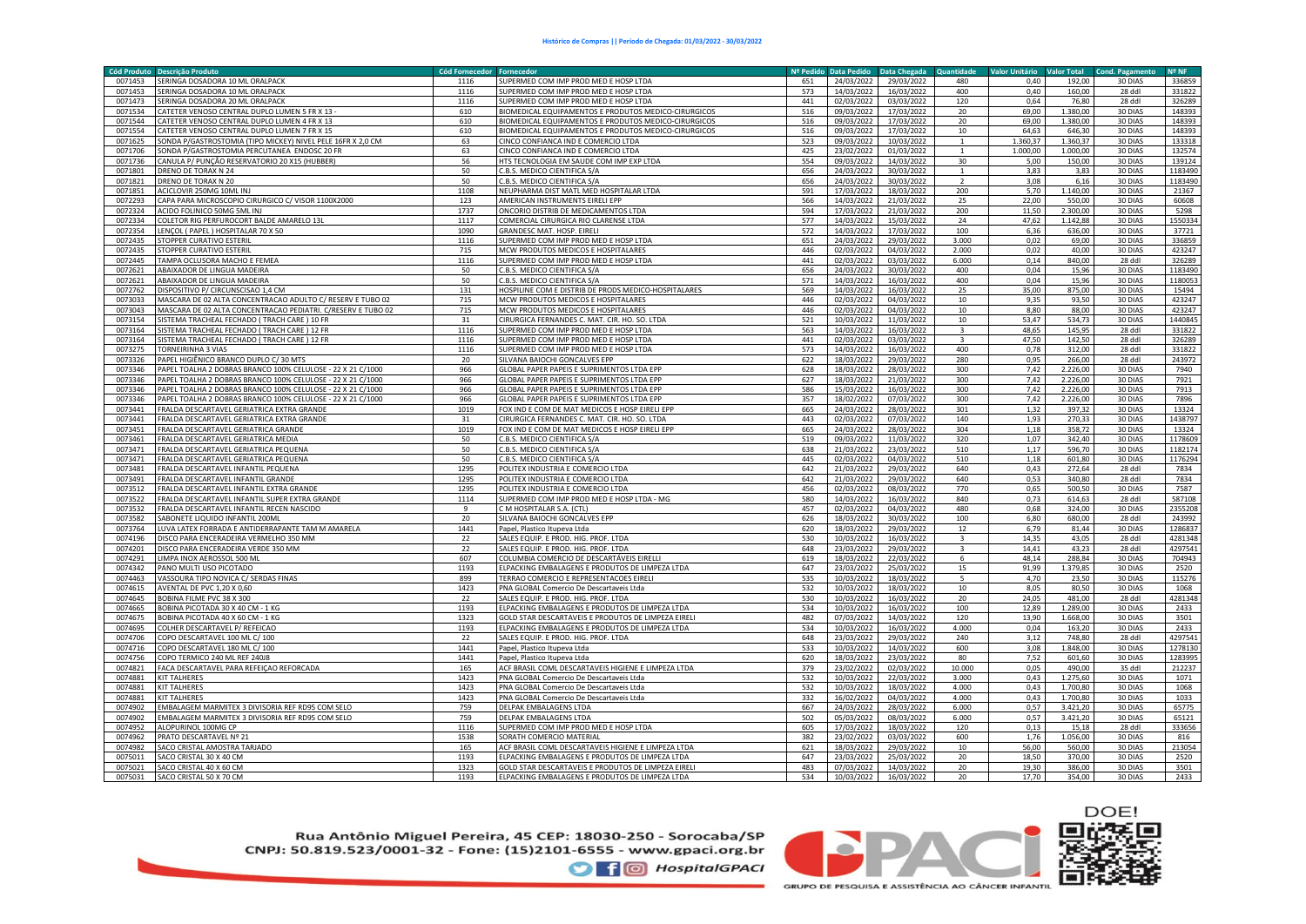| <b>Cód Produto</b> | <b>Descrição Produto</b>                                     | <b>Cód Fornecedor</b> | Fornecedo                                            | Nº Pedido | <b>Data Pedido</b> | Data Chegada | Quantidade               | <b>Valor Unitário</b> | <b>Valor Total</b> | <b>Cond. Pagamento</b> | <b>Nº NF</b> |
|--------------------|--------------------------------------------------------------|-----------------------|------------------------------------------------------|-----------|--------------------|--------------|--------------------------|-----------------------|--------------------|------------------------|--------------|
| 0071453            | SERINGA DOSADORA 10 ML ORALPACK                              | 1116                  | SUPERMED COM IMP PROD MED E HOSP LTDA                | 651       | 24/03/2022         | 29/03/2022   | 480                      | 0.40                  | 192.00             | 30 DIAS                | 336859       |
| 0071453            | SERINGA DOSADORA 10 ML ORALPACK                              | 1116                  | SUPERMED COM IMP PROD MED E HOSP LTDA                | 573       | 14/03/2022         | 16/03/2022   | 400                      | 0,40                  | 160,00             | 28 ddl                 | 331822       |
| 0071473            | SERINGA DOSADORA 20 ML ORALPACK                              | 1116                  | SUPERMED COM IMP PROD MED E HOSP LTDA                | 441       | 02/03/2022         | 03/03/2022   | 120                      | 0.64                  | 76.80              | 28 ddl                 | 326289       |
| 0071534            | CATETER VENOSO CENTRAL DUPLO LUMEN 5 FR X 13 -               | 610                   | BIOMEDICAL EQUIPAMENTOS E PRODUTOS MEDICO-CIRURGICOS | 516       | 09/03/2022         | 17/03/2022   | 20                       | 69,00                 | 1.380.00           | 30 DIAS                | 148393       |
| 0071544            | CATETER VENOSO CENTRAL DUPLO LUMEN 4 FR X 13                 | 610                   | BIOMEDICAL EQUIPAMENTOS E PRODUTOS MEDICO-CIRURGICOS | 516       | 09/03/2022         | 17/03/2022   | 20                       | 69.00                 | 1.380,00           | 30 DIAS                | 148393       |
| 0071554            | CATETER VENOSO CENTRAL DUPLO LUMEN 7 FR X 15                 | 610                   | BIOMEDICAL EQUIPAMENTOS E PRODUTOS MEDICO-CIRURGICOS | 516       | 09/03/2022         | 17/03/2022   | 10                       | 64,63                 | 646,30             | 30 DIAS                | 148393       |
| 0071625            | SONDA P/GASTROSTOMIA (TIPO MICKEY) NIVEL PELE 16FR X 2,0 CM  | 63                    | CINCO CONFIANCA IND E COMERCIO LTDA                  | 523       | 09/03/2022         | 10/03/2022   |                          | 1.360.37              | 1.360,37           | 30 DIAS                | 133318       |
| 0071706            | SONDA P/GASTROSTOMIA PERCUTANEA ENDOSC 20 FR                 | 63                    | CINCO CONFIANCA IND E COMERCIO LTDA                  | 425       | 23/02/2022         | 01/03/2022   |                          | 1.000,00              | 1.000,00           | 30 DIAS                | 132574       |
| 0071736            |                                                              |                       |                                                      | 554       |                    | 14/03/2022   | 30                       |                       | 150.00             | 30 DIAS                |              |
|                    | CANULA P/ PUNÇÃO RESERVATORIO 20 X15 (HUBBER)                | 56                    | HTS TECNOLOGIA EM SAUDE COM IMP EXP LTDA             |           | 09/03/2022         |              |                          | 5,00                  |                    |                        | 139124       |
| 0071801            | DRENO DE TORAX N 24                                          | 50                    | C.B.S. MEDICO CIENTIFICA S/A                         | 656       | 24/03/2022         | 30/03/2022   |                          | 3,83                  | 3,83               | 30 DIAS                | 1183490      |
| 0071821            | DRENO DE TORAX N 20                                          | 50                    | C.B.S. MEDICO CIENTIFICA S/A                         | 656       | 24/03/2022         | 30/03/2022   | $\overline{\phantom{a}}$ | 3,08                  | 6,16               | 30 DIAS                | 1183490      |
| 0071851            | ACICLOVIR 250MG 10ML INJ                                     | 1108                  | NEUPHARMA DIST MATL MED HOSPITALAR LTDA              | 591       | 17/03/2022         | 18/03/2022   | 200                      | 5,70                  | 1.140,00           | 30 DIAS                | 21367        |
| 0072293            | CAPA PARA MICROSCOPIO CIRURGICO C/ VISOR 1100X2000           | 123                   | AMERICAN INSTRUMENTS EIRELI EPP                      | 566       | 14/03/2022         | 21/03/2022   | 25                       | 22,00                 | 550,00             | 30 DIAS                | 60608        |
| 0072324            | ACIDO FOLINICO 50MG 5ML INJ                                  | 1737                  | ONCORIO DISTRIB DE MEDICAMENTOS LTDA                 | 594       | 17/03/2022         | 21/03/2022   | 200                      | 11.50                 | 2.300.00           | 30 DIAS                | 5298         |
| 0072334            | COLETOR RIG PERFUROCORT BALDE AMARELO 13L                    | 1117                  | COMERCIAL CIRURGICA RIO CLARENSE LTDA                | 577       | 14/03/2022         | 15/03/2022   | 24                       | 47,62                 | 1.142,88           | 30 DIAS                | 1550334      |
| 0072354            | LENCOL (PAPEL) HOSPITALAR 70 X 50                            | 1090                  | <b>GRANDESC MAT, HOSP, EIREL</b>                     | 572       | 14/03/2022         | 17/03/2022   | 100                      | 6.36                  | 636.00             | 30 DIAS                | 37721        |
| 0072435            | STOPPER CURATIVO ESTERIL                                     | 1116                  | SUPERMED COM IMP PROD MED E HOSP LTDA                | 651       | 24/03/2022         | 29/03/2022   | 3,000                    | 0,02                  | 69,00              | 30 DIAS                | 336859       |
| 0072435            | STOPPER CURATIVO ESTERIL                                     | 715                   | MCW PRODUTOS MEDICOS E HOSPITALARES                  | 446       | 02/03/2022         | 04/03/2022   | 2.000                    | 0,02                  | 40,00              | 30 DIAS                | 423247       |
| 0072445            | TAMPA OCLUSORA MACHO E FEMEA                                 | 1116                  | SUPERMED COM IMP PROD MED E HOSP LTDA                | 441       | 02/03/2022         | 03/03/2022   | 6.000                    | 0,14                  | 840,00             | 28 ddl                 | 326289       |
| 0072621            | ABAIXADOR DE LINGUA MADEIRA                                  | 50                    | C.B.S. MEDICO CIENTIFICA S/A                         | 656       | 24/03/2022         | 30/03/2022   | 400                      | 0,04                  | 15,96              | 30 DIAS                | 1183490      |
| 0072621            | ABAIXADOR DE LINGUA MADEIRA                                  | 50                    | C.B.S. MEDICO CIENTIFICA S/A                         | 571       | 14/03/2022         | 16/03/2022   | 400                      | 0,04                  | 15,96              | 30 DIAS                | 1180053      |
|                    |                                                              |                       |                                                      |           |                    |              |                          |                       |                    |                        |              |
| 0072762            | DISPOSITIVO P/ CIRCUNSCISAO 1.4 CM                           | 131                   | HOSPILINE COM E DISTRIB DE PRODS MEDICO-HOSPITALARES | 569       | 14/03/2022         | 16/03/2022   | 25                       | 35.00                 | 875.00             | 30 DIAS                | 15494        |
| 0073033            | MASCARA DE 02 ALTA CONCENTRACAO ADULTO C/ RESERV E TUBO 02   | 715                   | MCW PRODUTOS MEDICOS E HOSPITALARES                  | 446       | 02/03/2022         | 04/03/2022   | 10                       | 9,35                  | 93,50              | 30 DIAS                | 423247       |
| 0073043            | MASCARA DE 02 ALTA CONCENTRACAO PEDIATRI. C/RESERV E TUBO 02 | 715                   | MCW PRODUTOS MEDICOS E HOSPITALARES                  | 446       | 02/03/2022         | 04/03/2022   | 10                       | 8,80                  | 88,00              | 30 DIAS                | 423247       |
| 0073154            | SISTEMA TRACHEAL FECHADO (TRACH CARE) 10 FR                  | 31                    | CIRURGICA FERNANDES C. MAT. CIR. HO. SO. LTDA        | 521       | 10/03/2022         | 11/03/2022   | 10                       | 53,47                 | 534,73             | 30 DIAS                | 1440845      |
| 0073164            | SISTEMA TRACHEAL FECHADO (TRACH CARE) 12 FR                  | 1116                  | SUPERMED COM IMP PROD MED E HOSP LTDA                | 563       | 14/03/2022         | 16/03/2022   | 3                        | 48,65                 | 145,95             | 28 ddl                 | 331822       |
| 0073164            | SISTEMA TRACHEAL FECHADO (TRACH CARE) 12 FR                  | 1116                  | SUPERMED COM IMP PROD MED E HOSP LTDA                | 441       | 02/03/2022         | 03/03/2022   | $\mathbf{3}$             | 47.50                 | 142.50             | 28 ddl                 | 326289       |
| 0073275            | TORNEIRINHA 3 VIAS                                           | 1116                  | SUPERMED COM IMP PROD MED E HOSP LTDA                | 573       | 14/03/2022         | 16/03/2022   | 400                      | 0,78                  | 312,00             | 28 ddl                 | 331822       |
| 0073326            | PAPEL HIGIÊNICO BRANCO DUPLO C/30 MTS                        | 20                    | SILVANA BAIOCHI GONCALVES EPF                        | 622       | 18/03/2022         | 29/03/2022   | 280                      | 0.95                  | 266,00             | 28 ddl                 | 243972       |
| 0073346            | PAPEL TOALHA 2 DOBRAS BRANCO 100% CELULOSE - 22 X 21 C/1000  | 966                   | GLOBAL PAPER PAPEIS E SUPRIMENTOS LTDA EPP           | 628       | 18/03/2022         | 28/03/2022   | 300                      | 7,42                  | 2.226,00           | 30 DIAS                | 7940         |
| 0073346            | PAPEL TOALHA 2 DOBRAS BRANCO 100% CELULOSE - 22 X 21 C/1000  | 966                   | GLOBAL PAPER PAPEIS E SUPRIMENTOS LTDA EPP           | 627       | 18/03/2022         | 21/03/2022   | 300                      | 7,42                  | 2.226,00           | 30 DIAS                | 7921         |
| 0073346            | PAPEL TOALHA 2 DOBRAS BRANCO 100% CELULOSE - 22 X 21 C/1000  | 966                   | GLOBAL PAPER PAPEIS E SUPRIMENTOS LTDA EPP           | 586       |                    |              | 300                      | 7,42                  | 2.226,00           | 30 DIAS                | 7913         |
|                    |                                                              |                       |                                                      |           | 15/03/2022         | 16/03/2022   |                          |                       |                    |                        |              |
| 0073346            | PAPEL TOALHA 2 DOBRAS BRANCO 100% CELULOSE - 22 X 21 C/1000  | 966                   | GLOBAL PAPER PAPEIS E SUPRIMENTOS LTDA EPP           | 357       | 18/02/2022         | 07/03/2022   | 300                      | 7,42                  | 2.226,00           | 30 DIAS                | 7896         |
| 0073441            | FRALDA DESCARTAVEL GERIATRICA EXTRA GRANDE                   | 1019                  | FOX IND E COM DE MAT MEDICOS E HOSP EIRELI EPP       | 665       | 24/03/2022         | 28/03/2022   | 301                      | 1,32                  | 397,32             | 30 DIAS                | 13324        |
| 0073441            | FRALDA DESCARTAVEL GERIATRICA EXTRA GRANDE                   | 31                    | CIRURGICA FERNANDES C. MAT. CIR. HO. SO. LTDA        | 443       | 02/03/2022         | 07/03/2022   | 140                      | 1.93                  | 270.33             | 30 DIAS                | 1438797      |
| 0073451            | FRALDA DESCARTAVEL GERIATRICA GRANDE                         | 1019                  | FOX IND E COM DE MAT MEDICOS E HOSP EIRELI EPP       | 665       | 24/03/2022         | 28/03/2022   | 304                      | 1,18                  | 358,72             | 30 DIAS                | 13324        |
| 0073461            | FRALDA DESCARTAVEL GERIATRICA MEDIA                          | 50                    | C.B.S. MEDICO CIENTIFICA S/A                         | 519       | 09/03/2022         | 11/03/2022   | 320                      | 1,07                  | 342,40             | 30 DIAS                | 1178609      |
| 0073471            | FRALDA DESCARTAVEL GERIATRICA PEQUENA                        | 50                    | C.B.S. MEDICO CIENTIFICA S/A                         | 638       | 21/03/2022         | 23/03/2022   | 510                      | 1,17                  | 596,70             | 30 DIAS                | 1182174      |
| 0073471            | FRALDA DESCARTAVEL GERIATRICA PEQUENA                        | 50                    | C.B.S. MEDICO CIENTIFICA S/A                         | 445       | 02/03/2022         | 04/03/2022   | 510                      | 1,18                  | 601,80             | 30 DIAS                | 1176294      |
| 0073481            | FRALDA DESCARTAVEL INFANTIL PEQUENA                          | 1295                  | POLITEX INDUSTRIA E COMERCIO LTDA                    | 642       | 21/03/2022         | 29/03/2022   | 640                      | 0,43                  | 272,64             | 28 ddl                 | 7834         |
| 0073491            | FRALDA DESCARTAVEL INFANTIL GRANDE                           | 1295                  | POLITEX INDUSTRIA E COMERCIO LTDA                    | 642       | 21/03/2022         | 29/03/2022   | 640                      | 0,53                  | 340,80             | 28 ddl                 | 7834         |
| 0073512            | FRALDA DESCARTAVEL INFANTIL EXTRA GRANDE                     | 1295                  | POLITEX INDUSTRIA E COMERCIO LTDA                    | 456       | 02/03/2022         | 08/03/2022   | 770                      | 0.65                  | 500.50             | 30 DIAS                | 7587         |
| 0073522            | RALDA DESCARTAVEL INFANTIL SUPER EXTRA GRANDE                | 1114                  | SUPERMED COM IMP PROD MED E HOSP LTDA - MG           | 580       | 14/03/2022         | 16/03/2022   | 840                      | 0,73                  | 614,63             | 28 ddl                 | 587108       |
| 0073532            | FRALDA DESCARTAVEL INFANTIL RECEN NASCIDO                    | $\mathbf{q}$          | C M HOSPITALAR S.A. (CTL)                            | 457       | 02/03/2022         | 04/03/2022   | 480                      | 0,68                  | 324,00             | 30 DIAS                | 2355208      |
|                    |                                                              |                       |                                                      | 626       |                    |              | 100                      | 6,80                  |                    |                        | 243992       |
| 0073582            | SABONETE LIQUIDO INFANTIL 200ML                              | 20                    | SILVANA BAIOCHI GONCALVES EPP                        |           | 18/03/2022         | 30/03/2022   |                          |                       | 680,00             | 28 ddl                 |              |
| 0073764            | LUVA LATEX FORRADA E ANTIDERRAPANTE TAM M AMARELA            | 1441                  | Papel, Plastico Itupeva Ltda                         | 620       | 18/03/2022         | 29/03/2022   | 12                       | 6,79                  | 81,44              | 30 DIAS                | 1286837      |
| 0074196            | DISCO PARA ENCERADEIRA VERMELHO 350 MM                       | 22                    | SALES EQUIP. E PROD. HIG. PROF. LTDA                 | 530       | 10/03/2022         | 16/03/2022   | $\overline{\mathbf{z}}$  | 14.35                 | 43.05              | 28 ddl                 | 4281348      |
| 0074201            | DISCO PARA ENCERADEIRA VERDE 350 MM                          | 22                    | SALES EQUIP, E PROD, HIG, PROF, LTDA                 | 648       | 23/03/2022         | 29/03/2022   | $\overline{\mathbf{3}}$  | 14,41                 | 43.23              | 28 ddl                 | 4297541      |
| 0074291            | LIMPA INOX AEROSSOL 500 ML                                   | 607                   | COLUMBIA COMERCIO DE DESCARTÁVEIS EIRELLI            | 619       | 18/03/2022         | 22/03/2022   | 6                        | 48,14                 | 288,84             | 30 DIAS                | 704943       |
| 0074342            | PANO MULTI USO PICOTADO                                      | 1193                  | ELPACKING EMBALAGENS E PRODUTOS DE LIMPEZA LTDA      | 647       | 23/03/2022         | 25/03/2022   | 15                       | 91,99                 | 1.379,85           | 30 DIAS                | 2520         |
| 0074463            | VASSOURA TIPO NOVICA C/ SERDAS FINAS                         | 899                   | TERRAO COMERCIO E REPRESENTACOES EIRELI              | 535       | 10/03/2022         | 18/03/2022   | 5                        | 4,70                  | 23,50              | 30 DIAS                | 115276       |
| 0074615            | AVENTAL DE PVC 1,20 X 0,60                                   | 1423                  | PNA GLOBAL Comercio De Descartaveis Ltda             | 532       | 10/03/2022         | 18/03/2022   | 10                       | 8,05                  | 80,50              | 30 DIAS                | 1068         |
| 0074645            | BOBINA FILME PVC 38 X 300                                    | 22                    | SALES EQUIP. E PROD. HIG. PROF. LTDA                 | 530       | 10/03/2022         | 16/03/2022   | 20                       | 24,05                 | 481,00             | 28 ddl                 | 4281348      |
| 0074665            | BOBINA PICOTADA 30 X 40 CM - 1 KG                            | 1193                  | ELPACKING EMBALAGENS E PRODUTOS DE LIMPEZA LTDA      | 534       | 10/03/2022         | 16/03/2022   | 100                      | 12,89                 | 1.289,00           | 30 DIAS                | 2433         |
| 0074675            | BOBINA PICOTADA 40 X 60 CM - 1 KG                            | 1323                  | GOLD STAR DESCARTAVEIS E PRODUTOS DE LIMPEZA EIREL   | 482       | 07/03/2022         | 14/03/2022   | 120                      | 13.90                 | 1.668.00           | 30 DIAS                | 3501         |
| 0074695            | COLHER DESCARTAVEL P/ REFEICAO                               | 1193                  | ELPACKING EMBALAGENS E PRODUTOS DE LIMPEZA LTDA      | 534       | 10/03/2022         | 16/03/2022   | 4.000                    | 0,04                  | 163,20             | 30 DIAS                | 2433         |
|                    |                                                              |                       |                                                      |           |                    |              |                          |                       |                    |                        |              |
| 0074706            | COPO DESCARTAVEL 100 ML C/ 100                               | 22                    | SALES EQUIP. E PROD. HIG. PROF. LTDA                 | 648       | 23/03/2022         | 29/03/2022   | 240                      | 3,12                  | 748,80             | 28 ddl                 | 4297541      |
| 0074716            | COPO DESCARTAVEL 180 ML C/ 100                               | 1441                  | Papel, Plastico Itupeva Ltda                         | 533       | 10/03/2022         | 14/03/2022   | 600                      | 3.08                  | 1.848.00           | 30 DIAS                | 1278130      |
| 0074756            | COPO TERMICO 240 ML REF 240J8                                | 1441                  | Papel, Plastico Itupeva Ltda                         | 620       | 18/03/2022         | 23/03/2022   | 80                       | 7,52                  | 601,60             | 30 DIAS                | 1283995      |
| 0074821            | FACA DESCARTAVEL PARA REFEICAO REFORCADA                     | 165                   | ACF BRASIL COML DESCARTAVEIS HIGIENE E LIMPEZA LTDA  | 379       | 23/02/2022         | 02/03/2022   | 10.000                   | 0.05                  | 490.00             | 35 ddl                 | 212237       |
| 0074881            | KIT TALHERES                                                 | 1423                  | PNA GLOBAL Comercio De Descartaveis Ltda             | 532       | 10/03/2022         | 22/03/2022   | 3.000                    | 0,43                  | 1.275,60           | 30 DIAS                | 1071         |
| 0074881            | KIT TAI HERES                                                | 1423                  | PNA GLOBAL Comercio De Descartaveis Ltda             | 532       | 10/03/2022         | 18/03/2022   | 4.000                    | 0.43                  | 1.700.80           | 30 DIAS                | 1068         |
| 0074881            | KIT TALHERES                                                 | 1423                  | PNA GLOBAL Comercio De Descartaveis Ltda             | 332       | 16/02/2022         | 04/03/2022   | 4.000                    | 0,43                  | 1.700,80           | 30 DIAS                | 1033         |
| 0074902            | EMBALAGEM MARMITEX 3 DIVISORIA REF RD95 COM SELO             | 759                   | DELPAK EMBALAGENS LTDA                               | 667       | 24/03/2022         | 28/03/2022   | 6.000                    | 0,57                  | 3.421,20           | 30 DIAS                | 65775        |
| 0074902            | EMBALAGEM MARMITEX 3 DIVISORIA REF RD95 COM SELO             | 759                   | DELPAK EMBALAGENS LTDA                               | 502       | 05/03/2022         | 08/03/2022   | 6.000                    | 0,57                  | 3.421,20           | 30 DIAS                | 65121        |
| 0074952            | ALOPURINOL 100MG CP                                          | 1116                  | SUPERMED COM IMP PROD MED E HOSP LTDA                | 605       | 17/03/2022         | 18/03/2022   | 120                      | 0,13                  | 15,18              | 28 ddl                 | 333656       |
| 0074962            | PRATO DESCARTAVEL Nº 21                                      | 1538                  | SORATH COMERCIO MATERIAL                             | 382       | 23/02/2022         | 03/03/2022   | 600                      | 1,76                  | 1.056,00           | 30 DIAS                | 816          |
| 0074982            |                                                              |                       |                                                      |           |                    |              |                          |                       |                    |                        |              |
|                    | SACO CRISTAL AMOSTRA TARJADO                                 | 165                   | ACF BRASIL COML DESCARTAVEIS HIGIENE E LIMPEZA LTDA  | 621       | 18/03/2022         | 29/03/2022   | 10                       | 56,00                 | 560,00             | 30 DIAS                | 213054       |
| 0075011            | SACO CRISTAL 30 X 40 CM                                      | 1193                  | ELPACKING EMBALAGENS E PRODUTOS DE LIMPEZA LTDA      | 647       | 23/03/2022         | 25/03/2022   | 20                       | 18,50                 | 370,00             | 30 DIAS                | 2520         |
| 0075021            | SACO CRISTAL 40 X 60 CM                                      | 1323                  | GOLD STAR DESCARTAVEIS E PRODUTOS DE LIMPEZA EIREL   | 483       | 07/03/2022         | 14/03/2022   | 20                       | 19.30                 | 386,00             | 30 DIAS                | 3501         |
|                    | 0075031 SACO CRISTAL 50 X 70 CM                              | 1193                  | ELPACKING EMBALAGENS E PRODUTOS DE LIMPEZA LTDA      | 534       | 10/03/2022         | 16/03/2022   | 20                       | 17.70                 | 354,00             | 30 DIAS                | 2433         |

Rua Antônio Miguel Pereira, 45 CEP: 18030-250 - Sorocaba/SP CNPJ: 50.819.523/0001-32 - Fone: (15)2101-6555 - www.gpaci.org.br



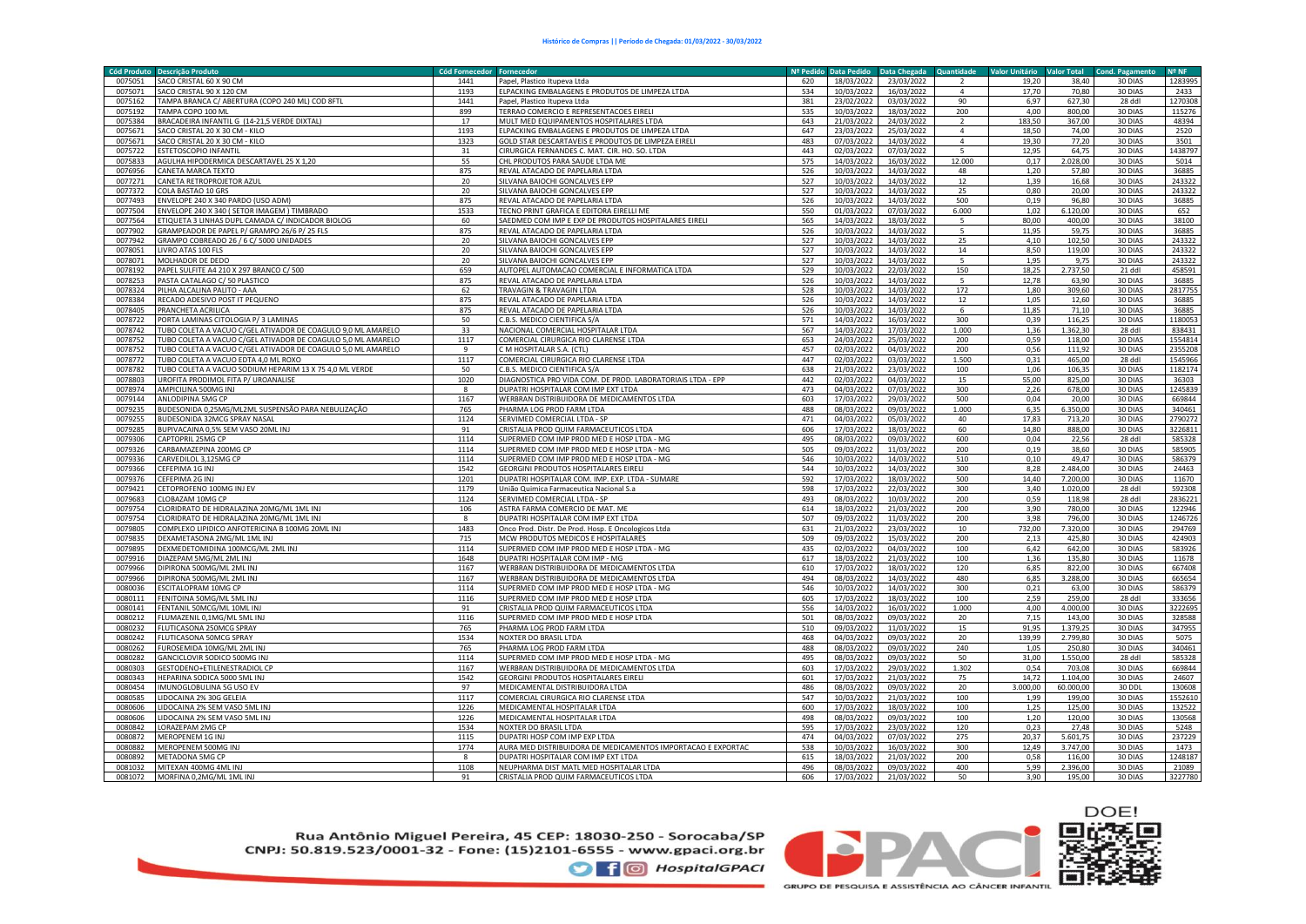| <b>Cód Produto</b> | <b>Descricão Produto</b>                                     | <b>Cód Fornecedor</b> | <b>Enrnecedo</b>                                             | Nº Pedido | <b>Data Pedido</b> | Data Chegada | <b>Quantidade</b>        | <b>Valor Unitário</b> | <b>Valor Total</b> | <b>Cond. Pagamento</b> | Nº NF   |
|--------------------|--------------------------------------------------------------|-----------------------|--------------------------------------------------------------|-----------|--------------------|--------------|--------------------------|-----------------------|--------------------|------------------------|---------|
| 0075051            | SACO CRISTAL 60 X 90 CM                                      | 1441                  | Papel, Plastico Itupeva Ltda                                 | 620       | 18/03/2022         | 23/03/2022   |                          | 19.20                 | 38.40              | 30 DIAS                | 1283995 |
| 0075071            | SACO CRISTAL 90 X 120 CM                                     | 1193                  | ELPACKING EMBALAGENS E PRODUTOS DE LIMPEZA LTDA              | 534       | 10/03/2022         | 16/03/2022   | $\Delta$                 | 17.70                 | 70.80              | 30 DIAS                | 2433    |
| 0075162            | TAMPA BRANCA C/ ABERTURA (COPO 240 ML) COD 8FTL              | 1441                  | Papel, Plastico Itupeva Ltda                                 | 381       | 23/02/2022         | 03/03/2022   | 90                       | 6,97                  | 627.30             | 28 ddl                 | 1270308 |
| 0075192            | TAMPA COPO 100 ML                                            | 899                   | TERRAO COMERCIO E REPRESENTACOES EIRELI                      | 535       | 10/03/2022         | 18/03/2022   | 200                      | 4,00                  | 800,00             | 30 DIAS                | 115276  |
| 0075384            | BRACADEIRA INFANTIL G (14-21,5 VERDE DIXTAL)                 | 17                    | MULT MED EQUIPAMENTOS HOSPITALARES LTDA                      | 643       | 21/03/2022         | 24/03/2022   |                          | 183.50                | 367.00             | 30 DIAS                | 48394   |
| 0075671            | SACO CRISTAL 20 X 30 CM - KILO                               | 1193                  | ELPACKING EMBALAGENS E PRODUTOS DE LIMPEZA LTDA              | 647       | 23/03/2022         | 25/03/2022   | $\overline{a}$           | 18,50                 | 74.00              | 30 DIAS                | 2520    |
| 0075671            | SACO CRISTAL 20 X 30 CM - KILO                               | 1323                  | GOLD STAR DESCARTAVEIS E PRODUTOS DE LIMPEZA EIRELI          | 483       | 07/03/2022         | 14/03/2022   | $\overline{4}$           | 19.30                 | 77.20              | 30 DIAS                | 3501    |
| 0075722            | ESTETOSCOPIO INFANTIL                                        | 31                    | CIRURGICA FERNANDES C. MAT. CIR. HO. SO. LTDA                | 443       | 02/03/2022         | 07/03/2022   | -5                       | 12,95                 | 64,75              | 30 DIAS                | 1438797 |
| 0075833            | AGULHA HIPODERMICA DESCARTAVEL 25 X 1,20                     | 55                    | CHL PRODUTOS PARA SAUDE LTDA ME                              | 575       | 14/03/2022         | 16/03/2022   | 12.000                   | 0,17                  | 2.028,00           | 30 DIAS                | 5014    |
| 0076956            | CANETA MARCA TEXTO                                           | 875                   | REVAL ATACADO DE PAPELARIA LTDA                              | 526       | 10/03/2022         | 14/03/2022   | 48                       | 1,20                  | 57,80              | 30 DIAS                | 36885   |
| 0077271            | CANETA RETROPROJETOR AZUL                                    | 20                    | SILVANA BAIOCHI GONCALVES EPP                                | 527       | 10/03/2022         | 14/03/2022   | 12                       | 1.39                  | 16,68              | 30 DIAS                | 243322  |
| 0077372            | COLA BASTAO 10 GRS                                           | 20                    | SILVANA BAIOCHI GONCALVES EPP                                | 527       | 10/03/2022         | 14/03/2022   | 25                       | 0,80                  | 20,00              | 30 DIAS                | 243322  |
| 0077493            | ENVELOPE 240 X 340 PARDO (USO ADM)                           | 875                   | REVAL ATACADO DE PAPELARIA LTDA                              | 526       | 10/03/2022         | 14/03/2022   | 500                      | 0.19                  | 96.80              | 30 DIAS                | 36885   |
| 0077504            | INVELOPE 240 X 340 (SETOR IMAGEM) TIMBRADO                   | 1533                  | TECNO PRINT GRAFICA E EDITORA EIRELLI ME                     | 550       | 01/03/2022         | 07/03/2022   | 6.000                    | 1,02                  | 6.120,00           | 30 DIAS                | 652     |
| 0077564            | ETIQUETA 3 LINHAS DUPL CAMADA C/ INDICADOR BIOLOG            | 60                    | SAEDMED COM IMP E EXP DE PRODUTOS HOSPITALARES EIRELI        | 565       | 14/03/2022         | 18/03/2022   | $\overline{5}$           | 80,00                 | 400,00             | 30 DIAS                | 38100   |
| 0077902            | GRAMPEADOR DE PAPEL P/ GRAMPO 26/6 P/ 25 FLS                 | 875                   | REVAL ATACADO DE PAPELARIA LTDA                              | 526       | 10/03/2022         | 14/03/2022   | $\overline{\phantom{0}}$ | 11,95                 | 59,75              | 30 DIAS                | 36885   |
| 0077942            | GRAMPO COBREADO 26 / 6 C/ 5000 UNIDADES                      | 20                    | SILVANA BAIOCHI GONCALVES EPP                                | 527       | 10/03/2022         | 14/03/2022   | 25                       | 4,10                  | 102,50             | 30 DIAS                | 243322  |
| 0078051            | LIVRO ATAS 100 FLS                                           | 20                    | SILVANA BAIOCHI GONCALVES EPP                                | 527       | 10/03/2022         | 14/03/2022   | 14                       | 8,50                  | 119,00             | 30 DIAS                | 243322  |
| 0078071            | MOLHADOR DE DEDO                                             | 20                    | SILVANA BAIOCHI GONCALVES EPP                                | 527       | 10/03/2022         | 14/03/2022   | 5                        | 1,95                  | 9.75               | 30 DIAS                | 243322  |
| 0078192            | PAPEL SULFITE A4 210 X 297 BRANCO C/ 500                     | 659                   | AUTOPEL AUTOMACAO COMERCIAL E INFORMATICA LTDA               | 529       | 10/03/2022         | 22/03/2022   | 150                      | 18,25                 | 2.737,50           | 21 ddl                 | 458591  |
| 0078253            | PASTA CATALAGO C/ 50 PLASTICO                                | 875                   | REVAL ATACADO DE PAPELARIA LTDA                              | 526       | 10/03/2022         | 14/03/2022   | 5                        | 12,78                 | 63,90              | 30 DIAS                | 36885   |
| 0078324            | PILHA ALCALINA PALITO - AAA                                  | 62                    | TRAVAGIN & TRAVAGIN LTDA                                     | 528       | 10/03/2022         | 14/03/2022   | 172                      | 1,80                  | 309,60             | 30 DIAS                | 2817755 |
| 0078384            | RECADO ADESIVO POST IT PEQUENO                               | 875                   | REVAL ATACADO DE PAPELARIA LTDA                              | 526       | 10/03/2022         | 14/03/2022   | 12                       | 1,05                  | 12,60              | 30 DIAS                | 36885   |
| 0078405            | PRANCHETA ACRILICA                                           | 875                   | REVAL ATACADO DE PAPELARIA LTDA                              | 526       | 10/03/2022         | 14/03/2022   | -6                       | 11,85                 | 71,10              | 30 DIAS                | 36885   |
| 0078722            | PORTA LAMINAS CITOLOGIA P/3 LAMINAS                          | 50                    | C.B.S. MEDICO CIENTIFICA S/A                                 | 571       | 14/03/2022         | 16/03/2022   | 300                      | 0,39                  | 116,25             | 30 DIAS                | 1180053 |
| 0078742            | TUBO COLETA A VACUO C/GEL ATIVADOR DE COAGULO 9,0 ML AMARELO | 33                    | NACIONAL COMERCIAL HOSPITALAR LTDA                           | 567       | 14/03/2022         | 17/03/2022   | 1.000                    | 1,36                  | 1.362,30           | 28 ddl                 | 838431  |
| 0078752            | TUBO COLETA A VACUO C/GEL ATIVADOR DE COAGULO 5,0 ML AMARELO | 1117                  | COMERCIAL CIRURGICA RIO CLARENSE LTDA                        | 653       | 24/03/2022         | 25/03/2022   | 200                      | 0,59                  | 118,00             | 30 DIAS                | 1554814 |
| 0078752            | TUBO COLETA A VACUO C/GEL ATIVADOR DE COAGULO 5,0 ML AMARELO | $\mathbf{q}$          | C M HOSPITALAR S.A. (CTL)                                    | 457       | 02/03/2022         | 04/03/2022   | 200                      | 0,56                  | 111,92             | 30 DIAS                | 2355208 |
| 0078772            | TUBO COLETA A VACUO EDTA 4,0 ML ROXO                         | 1117                  | COMERCIAL CIRURGICA RIO CLARENSE LTDA                        | 447       | 02/03/2022         | 03/03/2022   | 1.500                    | 0,31                  | 465,00             | 28 ddl                 | 1545966 |
| 0078782            | TUBO COLETA A VACUO SODIUM HEPARIM 13 X 75 4,0 ML VERDE      | 50                    | C.B.S. MEDICO CIENTIFICA S/A                                 | 638       | 21/03/2022         | 23/03/2022   | 100                      | 1,06                  | 106,35             | 30 DIAS                | 1182174 |
| 0078803            | UROFITA PRODIMOL FITA P/ UROANALISE                          | 1020                  | DIAGNOSTICA PRO VIDA COM. DE PROD. LABORATORIAIS LTDA - EPP  | 442       | 02/03/2022         | 04/03/2022   | 15                       | 55.00                 | 825,00             | 30 DIAS                | 36303   |
| 0078974            | AMPICILINA 500MG INJ                                         | $\mathbf{R}$          | DUPATRI HOSPITALAR COM IMP EXT LTDA                          | 473       | 04/03/2022         | 07/03/2022   | 300                      | 2,26                  | 678,00             | 30 DIAS                | 1245839 |
| 0079144            | ANLODIPINA 5MG CP                                            | 1167                  | WERBRAN DISTRIBUIDORA DE MEDICAMENTOS LTDA                   | 603       | 17/03/2022         | 29/03/2022   | 500                      | 0.04                  | 20.00              | 30 DIAS                | 669844  |
| 0079235            | BUDESONIDA 0,25MG/ML2ML SUSPENSÃO PARA NEBULIZAÇÃO           | 765                   | PHARMA LOG PROD FARM LTDA                                    | 488       | 08/03/2022         | 09/03/2022   | 1.000                    | 6,35                  | 6.350,00           | 30 DIAS                | 340461  |
| 0079255            | BUDESONIDA 32MCG SPRAY NASAL                                 | 1124                  | SERVIMED COMERCIAL LTDA - SP                                 | 471       | 04/03/2022         | 05/03/2022   | 40                       | 17.83                 | 713,20             | 30 DIAS                | 2790272 |
| 0079285            | BUPIVACAINA 0,5% SEM VASO 20ML INJ                           | 91                    | CRISTALIA PROD QUIM FARMACEUTICOS LTDA                       | 606       | 17/03/2022         | 18/03/2022   | 60                       | 14,80                 | 888,00             | 30 DIAS                | 3226811 |
| 0079306            | CAPTOPRIL 25MG CP                                            | 1114                  | SUPERMED COM IMP PROD MED E HOSP LTDA - MG                   | 495       | 08/03/2022         | 09/03/2022   | 600                      | 0,04                  | 22,56              | 28 ddl                 | 585328  |
| 0079326            | CARBAMAZEPINA 200MG CP                                       | 1114                  | SUPERMED COM IMP PROD MED E HOSP LTDA - MG                   | 505       | 09/03/2022         | 11/03/2022   | 200                      | 0.19                  | 38,60              | 30 DIAS                | 585905  |
| 0079336            | CARVEDILOL 3,125MG CP                                        | 1114                  | SUPERMED COM IMP PROD MED E HOSP LTDA - MG                   | 546       | 10/03/2022         | 14/03/2022   | 510                      | 0,10                  | 49,47              | 30 DIAS                | 586379  |
| 0079366            | CEFEPIMA 1G INJ                                              | 1542                  | <b>GEORGINI PRODUTOS HOSPITALARES EIRELI</b>                 | 544       | 10/03/2022         | 14/03/2022   | 300                      | 8.28                  | 2.484.00           | 30 DIAS                | 24463   |
| 0079376            | CEFEPIMA 2G INJ                                              | 1201                  | DUPATRI HOSPITALAR COM. IMP. EXP. LTDA - SUMARE              | 592       | 17/03/2022         | 18/03/2022   | 500                      | 14,40                 | 7.200,00           | 30 DIAS                | 11670   |
| 0079421            | CETOPROFENO 100MG INJ EV                                     | 1179                  | União Quimica Farmaceutica Nacional S.a                      | 598       | 17/03/2022         | 22/03/2022   | 300                      | 3.40                  | 1.020,00           | 28 ddl                 | 592308  |
| 0079683            | CLOBAZAM 10MG CP                                             | 1124                  | SERVIMED COMERCIAL LTDA - SP                                 | 493       | 08/03/2022         | 10/03/2022   | 200                      | 0,59                  | 118,98             | 28 ddl                 | 2836221 |
| 0079754            | CLORIDRATO DE HIDRALAZINA 20MG/ML 1ML INJ                    | 106                   | ASTRA FARMA COMERCIO DE MAT. ME                              | 614       | 18/03/2022         | 21/03/2022   | 200                      | 3,90                  | 780,00             | 30 DIAS                | 122946  |
| 0079754            | CLORIDRATO DE HIDRALAZINA 20MG/ML 1ML INJ                    | 8                     | DUPATRI HOSPITALAR COM IMP EXT LTDA                          | 507       | 09/03/2022         | 11/03/2022   | 200                      | 3,98                  | 796,00             | 30 DIAS                | 1246726 |
| 0079805            | COMPLEXO LIPIDICO ANFOTERICINA B 100MG 20ML INJ              | 1483                  | Onco Prod. Distr. De Prod. Hosp. E Oncologicos Ltda          | 631       | 21/03/2022         | 23/03/2022   | 10                       | 732.00                | 7.320.00           | 30 DIAS                | 294769  |
| 0079835            | DEXAMETASONA 2MG/ML 1ML INJ                                  | 715                   | MCW PRODUTOS MEDICOS E HOSPITALARES                          | 509       | 09/03/2022         | 15/03/2022   | 200                      | 2,13                  | 425,80             | 30 DIAS                | 424903  |
| 0079895            | DEXMEDETOMIDINA 100MCG/ML 2ML INJ                            | 1114                  | SUPERMED COM IMP PROD MED E HOSP LTDA - MG                   | 435       | 02/03/2022         | 04/03/2022   | 100                      | 6,42                  | 642,00             | 30 DIAS                | 583926  |
| 0079916            | DIAZEPAM 5MG/ML 2ML INJ                                      | 1648                  | DUPATRI HOSPITALAR COM IMP - MG                              | 617       | 18/03/2022         | 21/03/2022   | 100                      | 1,36                  | 135,80             | 30 DIAS                | 11678   |
| 0079966            | DIPIRONA 500MG/ML 2ML INJ                                    | 1167                  | WERBRAN DISTRIBUIDORA DE MEDICAMENTOS LTDA                   | 610       | 17/03/2022         | 18/03/2022   | 120                      | 6,85                  | 822,00             | 30 DIAS                | 667408  |
| 0079966            | DIPIRONA 500MG/ML 2ML INJ                                    | 1167                  | WERBRAN DISTRIBUIDORA DE MEDICAMENTOS LTDA                   | 494       | 08/03/2022         | 14/03/2022   | 480                      | 6,85                  | 3.288,00           | 30 DIAS                | 665654  |
| 0080036            | ESCITALOPRAM 10MG CP                                         | 1114                  | SUPERMED COM IMP PROD MED E HOSP LTDA - MG                   | 546       | 10/03/2022         | 14/03/2022   | 300                      | 0,21                  | 63,00              | 30 DIAS                | 586379  |
| 0080111            | FENITOINA 50MG/ML 5ML IN.                                    | 1116                  | SUPERMED COM IMP PROD MED E HOSP LTDA                        | 605       | 17/03/2022         | 18/03/2022   | 100                      | 2,59                  | 259,00             | 28 ddl                 | 333656  |
| 0080141            | FENTANIL 50MCG/ML 10ML INJ                                   | 91                    | CRISTALIA PROD QUIM FARMACEUTICOS LTDA                       | 556       | 14/03/2022         | 16/03/2022   | 1.000                    | 4.00                  | 4.000.00           | 30 DIAS                | 3222695 |
| 0080212            | FLUMAZENIL 0,1MG/ML 5ML INJ                                  | 1116                  | SUPERMED COM IMP PROD MED E HOSP LTDA                        | 501       | 08/03/2022         | 09/03/2022   | 20                       | 7,15                  | 143,00             | 30 DIAS                | 328588  |
| 0080232            | FLUTICASONA 250MCG SPRAY                                     | 765                   | PHARMA LOG PROD FARM LTDA                                    | 510       | 09/03/2022         | 11/03/2022   | 15                       | 91,95                 | 1.379,25           | 30 DIAS                | 347955  |
| 0080242            | FLUTICASONA 50MCG SPRAY                                      | 1534                  | NOXTER DO BRASIL LTDA                                        | 468       | 04/03/2022         | 09/03/2022   | 20                       | 139,99                | 2.799,80           | 30 DIAS                | 5075    |
| 0080262            | FUROSEMIDA 10MG/ML 2ML INJ                                   | 765                   | PHARMA LOG PROD FARM LTDA                                    | 488       | 08/03/2022         | 09/03/2022   | 240                      | 1,05                  | 250,80             | 30 DIAS                | 340461  |
| 0080282            | GANCICLOVIR SODICO 500MG INJ                                 | 1114                  | SUPERMED COM IMP PROD MED E HOSP LTDA - MG                   | 495       | 08/03/2022         | 09/03/2022   | 50                       | 31.00                 | 1.550,00           | 28 ddl                 | 585328  |
| 0080303            | <b>GESTODENO+ETILENESTRADIOL CP</b>                          | 1167                  | WERBRAN DISTRIBUIDORA DE MEDICAMENTOS LTDA                   | 603       | 17/03/2022         | 29/03/2022   | 1.302                    | 0.54                  | 703.08             | 30 DIAS                | 669844  |
| 0080343            | HEPARINA SODICA 5000 SML INJ                                 | 1542                  | GEORGINI PRODUTOS HOSPITALARES EIRELI                        | 601       | 17/03/2022         | 21/03/2022   | 75                       | 14,72                 | 1.104,00           | 30 DIAS                | 24607   |
| 0080454            | IMUNOGLOBULINA 5G USO EV                                     | 97                    | MEDICAMENTAL DISTRIBUIDORA LTDA                              | 486       | 08/03/2022         | 09/03/2022   | 20                       | 3.000,00              | 60.000,00          | 30 DDL                 | 130608  |
| 0080585            | LIDOCAINA 2% 30G GELEIA                                      | 1117                  | COMERCIAL CIRURGICA RIO CLARENSE LTDA                        | 547       | 10/03/2022         | 21/03/2022   | 100                      | 1,99                  | 199,00             | 30 DIAS                | 1552610 |
| 0080606            | LIDOCAINA 2% SEM VASO 5ML INJ                                | 1226                  | MEDICAMENTAL HOSPITALAR LTDA                                 | 600       | 17/03/2022         | 18/03/2022   | 100                      | 1,25                  | 125,00             | 30 DIAS                | 132522  |
| 0080606            | LIDOCAINA 2% SEM VASO 5ML INJ                                | 1226                  | MEDICAMENTAL HOSPITALAR LTDA                                 | 498       | 08/03/2022         | 09/03/2022   | 100                      | 1.20                  | 120,00             | 30 DIAS                | 130568  |
| 0080842            | LORAZEPAM 2MG CP                                             | 1534                  | NOXTER DO BRASIL LTDA                                        | 595       | 17/03/2022         | 23/03/2022   | 120                      | 0,23                  | 27,48              | 30 DIAS                | 5248    |
| 0080872            | MEROPENEM 1G INJ                                             | 1115                  | DUPATRI HOSP COM IMP EXP LTDA                                | 474       | 04/03/2022         | 07/03/2022   | 275                      | 20.37                 | 5.601,75           | 30 DIAS                | 237229  |
| 0080882            | MEROPENEM 500MG INJ                                          | 1774                  | AURA MED DISTRIBUIDORA DE MEDICAMENTOS IMPORTACAO E EXPORTAC | 538       | 10/03/2022         | 16/03/2022   | 300                      | 12,49                 | 3.747,00           | 30 DIAS                | 1473    |
| 0080892            | METADONA 5MG CP                                              | $\mathbf{Q}$          | DUPATRI HOSPITALAR COM IMP EXT LTDA                          | 615       | 18/03/2022         | 21/03/2022   | 200                      | 0.58                  | 116,00             | 30 DIAS                | 1248187 |
| 0081032            | MITEXAN 400MG 4ML INJ                                        | 1108                  | NEUPHARMA DIST MATL MED HOSPITALAR LTDA                      | 496       | 08/03/2022         | 09/03/2022   | 400                      | 5,99                  | 2.396,00           | 30 DIAS                | 21089   |
| 0081072            | MORFINA 0,2MG/ML 1ML INJ                                     | 91                    | CRISTALIA PROD QUIM FARMACEUTICOS LTDA                       | 606       | 17/03/2022         | 21/03/2022   | 50                       | 3.90                  | 195,00             | 30 DIAS                | 3227780 |

Rua Antônio Miguel Pereira, 45 CEP: 18030-250 - Sorocaba/SP CNPJ: 50.819.523/0001-32 - Fone: (15)2101-6555 - www.gpaci.org.br

**O** f © HospitalGPACI

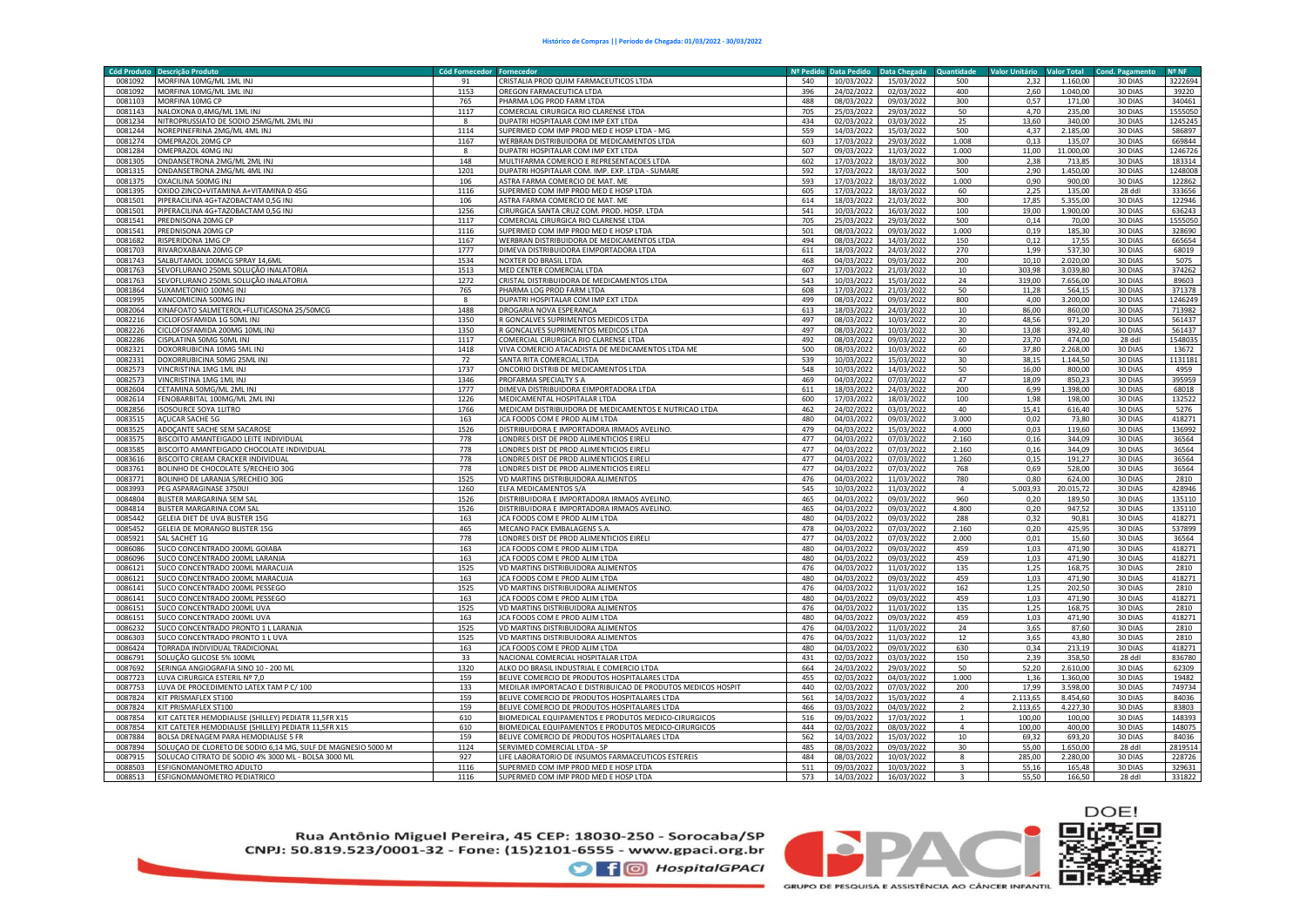| Cód Produto | <b>Descrição Produto</b>                                     | <b>Cód Fornecedor</b> | <b>Fornecedo</b>                                             | Nº Pedido | <b>Data Pedido</b> | Data Chegada | <b>Quantidade</b> | <b>Valor Unitário</b> | <b>Valor Total</b> | <b>Cond. Pagamento</b> | Nº NF   |
|-------------|--------------------------------------------------------------|-----------------------|--------------------------------------------------------------|-----------|--------------------|--------------|-------------------|-----------------------|--------------------|------------------------|---------|
| 0081092     | MORFINA 10MG/ML 1ML INJ                                      | 91                    | CRISTALIA PROD QUIM FARMACEUTICOS LTDA                       | 540       | 10/03/2022         | 15/03/2022   | 500               | 2.32                  | 1.160.00           | 30 DIAS                | 3222694 |
| 0081092     | MORFINA 10MG/ML 1ML INJ                                      | 1153                  | OREGON FARMACEUTICA LTDA                                     | 396       | 24/02/2022         | 02/03/2022   | 400               | 2.60                  | 1.040.00           | 30 DIAS                | 39220   |
| 0081103     | MORFINA 10MG CP                                              | 765                   | PHARMA LOG PROD FARM LTDA                                    | 488       | 08/03/2022         | 09/03/2022   | 300               | 0,57                  | 171,00             | 30 DIAS                | 340461  |
| 0081143     | NALOXONA 0,4MG/ML 1ML INJ                                    | 1117                  | COMERCIAL CIRURGICA RIO CLARENSE LTDA                        | 705       | 25/03/2022         | 29/03/2022   | 50                | 4,70                  | 235,00             | 30 DIAS                | 1555050 |
| 0081234     | NITROPRUSSIATO DE SODIO 25MG/ML 2ML INJ                      | $\boldsymbol{8}$      | DUPATRI HOSPITALAR COM IMP EXT LTDA                          | 434       | 02/03/2022         | 03/03/2022   | 25                | 13.60                 | 340.00             | 30 DIAS                | 1245245 |
| 0081244     | NOREPINEFRINA 2MG/ML 4ML INJ                                 | 1114                  | SUPERMED COM IMP PROD MED E HOSP LTDA - MG                   | 559       | 14/03/2022         | 15/03/2022   | 500               | 4,37                  | 2.185,00           | 30 DIAS                | 586897  |
| 0081274     | OMEPRAZOL 20MG CP                                            | 1167                  | WERBRAN DISTRIBUIDORA DE MEDICAMENTOS LTDA                   | 603       | 17/03/2022         | 29/03/2022   | 1.008             | 0.13                  | 135.07             | 30 DIAS                | 669844  |
| 0081284     | OMEPRAZOL 40MG INJ                                           | 8                     | DUPATRI HOSPITALAR COM IMP EXT LTDA                          | 507       | 09/03/2022         | 11/03/2022   | 1.000             | 11,00                 | 11.000,00          | 30 DIAS                | 1246726 |
| 0081305     | ONDANSETRONA 2MG/ML 2ML INJ                                  | 148                   | MULTIFARMA COMERCIO E REPRESENTACOES LTDA                    | 602       | 17/03/2022         | 18/03/2022   | 300               | 2,38                  | 713,85             | 30 DIAS                | 183314  |
| 0081315     | ONDANSETRONA 2MG/ML 4ML INJ                                  | 1201                  | DUPATRI HOSPITALAR COM. IMP. EXP. LTDA - SUMARE              | 592       | 17/03/2022         | 18/03/2022   | 500               | 2,90                  | 1.450,00           | 30 DIAS                | 1248008 |
| 0081375     | OXACILINA 500MG INJ                                          | 106                   | ASTRA FARMA COMERCIO DE MAT. ME                              | 593       | 17/03/2022         | 18/03/2022   | 1.000             | 0,90                  | 900,00             | 30 DIAS                | 122862  |
| 0081395     | OXIDO ZINCO+VITAMINA A+VITAMINA D 45G                        | 1116                  | SUPERMED COM IMP PROD MED E HOSP LTDA                        | 605       | 17/03/2022         | 18/03/2022   | 60                | 2,25                  | 135,00             | 28 ddl                 | 333656  |
| 0081501     | PIPERACILINA 4G+TAZOBACTAM 0,5G INJ                          | 106                   | ASTRA FARMA COMERCIO DE MAT. ME                              | 614       | 18/03/2022         | 21/03/2022   | 300               | 17.85                 | 5.355,00           | 30 DIAS                | 122946  |
| 0081501     | PIPERACILINA 4G+TAZOBACTAM 0,5G INJ                          | 1256                  | CIRURGICA SANTA CRUZ COM. PROD. HOSP. LTDA                   | 541       | 10/03/2022         | 16/03/2022   | 100               | 19,00                 | 1.900,00           | 30 DIAS                | 636243  |
| 0081541     | PREDNISONA 20MG CP                                           | 1117                  | COMERCIAL CIRURGICA RIO CLARENSE LTDA                        | 705       | 25/03/2022         | 29/03/2022   | 500               | 0,14                  | 70,00              | 30 DIAS                | 1555050 |
| 0081541     | PREDNISONA 20MG CP                                           | 1116                  | SUPERMED COM IMP PROD MED E HOSP LTDA                        | 501       | 08/03/2022         | 09/03/2022   | 1.000             | 0,19                  | 185,30             | 30 DIAS                | 328690  |
| 0081682     | RISPERIDONA 1MG CP                                           | 1167                  | WERBRAN DISTRIBUIDORA DE MEDICAMENTOS LTDA                   | 494       | 08/03/2022         | 14/03/2022   | 150               | 0,12                  | 17,55              | 30 DIAS                | 665654  |
| 0081703     | RIVAROXABANA 20MG CF                                         | 1777                  | DIMEVA DISTRIBUIDORA EIMPORTADORA LTDA                       | 611       | 18/03/2022         | 24/03/2022   | 270               | 1,99                  | 537,30             | 30 DIAS                | 68019   |
| 0081743     | SALBUTAMOL 100MCG SPRAY 14,6ML                               | 1534                  | NOXTER DO BRASIL LTDA                                        | 468       | 04/03/2022         | 09/03/2022   | 200               | 10,10                 | 2.020,00           | 30 DIAS                | 5075    |
| 0081763     | SEVOFLURANO 250ML SOLUÇÃO INALATORIA                         | 1513                  | MED CENTER COMERCIAL LTDA                                    | 607       | 17/03/2022         | 21/03/2022   | 10                | 303.98                | 3.039.80           | 30 DIAS                | 374262  |
| 0081763     | SEVOFLURANO 250ML SOLUÇÃO INALATORIA                         | 1272                  | CRISTAL DISTRIBUIDORA DE MEDICAMENTOS LTDA                   | 543       | 10/03/2022         | 15/03/2022   | 24                | 319.00                | 7.656,00           | 30 DIAS                | 89603   |
| 0081864     | <b>SUXAMETONIO 100MG INJ</b>                                 | 765                   | PHARMA LOG PROD FARM LTDA                                    | 608       | 17/03/2022         | 21/03/2022   | 50                | 11,28                 | 564,15             | 30 DIAS                | 371378  |
| 0081995     | VANCOMICINA 500MG INJ                                        | 8                     | DUPATRI HOSPITALAR COM IMP EXT LTDA                          | 499       | 08/03/2022         | 09/03/2022   | 800               | 4,00                  | 3.200,00           | 30 DIAS                | 1246249 |
| 0082064     | XINAFOATO SALMETEROL+FLUTICASONA 25/50MCG                    | 1488                  | DROGARIA NOVA ESPERANCA                                      | 613       | 18/03/2022         | 24/03/2022   | 10                | 86,00                 | 860,00             | 30 DIAS                | 713982  |
| 0082216     | CICLOFOSFAMIDA 1G 50ML INJ                                   | 1350                  | R GONCALVES SUPRIMENTOS MEDICOS LTDA                         | 497       | 08/03/2022         | 10/03/2022   | 20                | 48,56                 | 971,20             | 30 DIAS                | 561437  |
| 0082226     | CICLOFOSFAMIDA 200MG 10ML INJ                                | 1350                  | R GONCALVES SUPRIMENTOS MEDICOS LTDA                         | 497       | 08/03/2022         | 10/03/2022   | 30                | 13,08                 | 392,40             | 30 DIAS                | 561437  |
| 0082286     | CISPLATINA 50MG 50ML INJ                                     | 1117                  | COMERCIAL CIRURGICA RIO CLARENSE LTDA                        | 492       | 08/03/2022         | 09/03/2022   | 20                | 23,70                 | 474,00             | 28 ddl                 | 1548035 |
| 0082321     | DOXORRUBICINA 10MG 5ML IN.                                   | 1418                  | VIVA COMERCIO ATACADISTA DE MEDICAMENTOS LTDA ME             | 500       | 08/03/2022         | 10/03/2022   | 60                | 37.80                 | 2.268.00           | 30 DIAS                | 13672   |
| 0082331     | DOXORRUBICINA 50MG 25ML INJ                                  | 72                    | SANTA RITA COMERCIAL LTDA                                    | 539       | 10/03/2022         | 15/03/2022   | 30                | 38,15                 | 1.144,50           | 30 DIAS                | 1131181 |
| 0082573     | VINCRISTINA 1MG 1ML INJ                                      | 1737                  | ONCORIO DISTRIB DE MEDICAMENTOS LTDA                         | 548       | 10/03/2022         | 14/03/2022   | 50                | 16,00                 | 800,00             | 30 DIAS                | 4959    |
| 0082573     | VINCRISTINA 1MG 1ML INJ                                      | 1346                  | PROFARMA SPECIALTY S A                                       | 469       | 04/03/2022         | 07/03/2022   | 47                | 18,09                 | 850,23             | 30 DIAS                | 395959  |
| 0082604     | CETAMINA 50MG/ML 2ML INJ                                     | 1777                  | DIMEVA DISTRIBUIDORA EIMPORTADORA LTDA                       | 611       | 18/03/2022         | 24/03/2022   | 200               | 6,99                  | L.398,00           | 30 DIAS                | 68018   |
| 0082614     | FENOBARBITAL 100MG/ML 2ML INJ                                | 1226                  | MEDICAMENTAL HOSPITALAR LTDA                                 | 600       | 17/03/2022         | 18/03/2022   | 100               | 1,98                  | 198,00             | 30 DIAS                | 132522  |
| 0082856     | SOSOURCE SOYA 1LITRO                                         | 1766                  | MEDICAM DISTRIBUIDORA DE MEDICAMENTOS E NUTRICAO LTDA        | 462       | 24/02/2022         | 03/03/2022   | 40                | 15,41                 | 616.40             | 30 DIAS                | 5276    |
| 0083515     | AÇUCAR SACHE 5G                                              | 163                   | ICA FOODS COM E PROD ALIM LTDA                               | 480       | 04/03/2022         | 09/03/2022   | 3.000             | 0,02                  | 73,80              | 30 DIAS                | 418271  |
| 0083525     | ADOÇANTE SACHE SEM SACAROSE                                  | 1526                  | DISTRIBUIDORA E IMPORTADORA IRMAOS AVELINO.                  | 479       | 04/03/2022         | 15/03/2022   | 4.000             | 0,03                  | 119,60             | 30 DIAS                | 136992  |
| 0083575     | BISCOITO AMANTEIGADO LEITE INDIVIDUAL                        | 778                   | LONDRES DIST DE PROD ALIMENTICIOS EIRELI                     | 477       | 04/03/2022         | 07/03/2022   | 2.160             | 0.16                  | 344.09             | 30 DIAS                | 36564   |
| 0083585     | BISCOITO AMANTEIGADO CHOCOLATE INDIVIDUAL                    | 778                   | LONDRES DIST DE PROD ALIMENTICIOS EIRELI                     | 477       | 04/03/2022         | 07/03/2022   | 2.160             | 0,16                  | 344,09             | 30 DIAS                | 36564   |
| 0083616     | BISCOITO CREAM CRACKER INDIVIDUAL                            | 778                   | LONDRES DIST DE PROD ALIMENTICIOS EIRELI                     | 477       | 04/03/2022         | 07/03/2022   | 1.260             | 0,15                  | 191,27             | 30 DIAS                | 36564   |
| 0083761     | BOLINHO DE CHOCOLATE S/RECHEIO 30G                           | 778                   | LONDRES DIST DE PROD ALIMENTICIOS EIRELI                     | 477       | 04/03/2022         | 07/03/2022   | 768               | 0,69                  | 528,00             | 30 DIAS                | 36564   |
| 0083771     | BOLINHO DE LARANJA S/RECHEIO 30G                             | 1525                  | VD MARTINS DISTRIBUIDORA ALIMENTOS                           | 476       | 04/03/2022         | 11/03/2022   | 780               | 0.80                  | 624.00             | 30 DIAS                | 2810    |
| 0083993     | PEG ASPARAGINASE 3750UI                                      | 1260                  | ELFA MEDICAMENTOS S/A                                        | 545       | 10/03/2022         | 11/03/2022   | $\overline{4}$    | 5.003,93              | 20.015,72          | 30 DIAS                | 428946  |
| 0084804     | BLISTER MARGARINA SEM SAL                                    | 1526                  | DISTRIBUIDORA E IMPORTADORA IRMAOS AVELINO                   | 465       | 04/03/2022         | 09/03/2022   | 960               | 0,20                  | 189,50             | 30 DIAS                | 135110  |
| 0084814     | BLISTER MARGARINA COM SAL                                    | 1526                  | DISTRIBUIDORA E IMPORTADORA IRMAOS AVELINO.                  | 465       | 04/03/2022         | 09/03/2022   | 4.800             | 0,20                  | 947,52             | 30 DIAS                | 135110  |
| 0085442     | GELEIA DIET DE UVA BLISTER 15G                               | 163                   | <b>JCA FOODS COM E PROD ALIM LTDA</b>                        | 480       | 04/03/2022         | 09/03/2022   | 288               | 0,32                  | 90,81              | 30 DIAS                | 418271  |
| 0085452     | GELEIA DE MORANGO BLISTER 15G                                | 465                   | MECANO PACK EMBALAGENS S.A.                                  | 478       | 04/03/2022         | 07/03/2022   | 2.160             | 0,20                  | 425,95             | 30 DIAS                | 537899  |
| 0085921     | SAL SACHET 1G                                                | 778                   | LONDRES DIST DE PROD ALIMENTICIOS EIRELI                     | 477       | 04/03/2022         | 07/03/2022   | 2.000             | 0,01                  | 15,60              | 30 DIAS                | 36564   |
| 0086086     | SUCO CONCENTRADO 200ML GOIABA                                | 163                   | ICA FOODS COM E PROD ALIM LTDA                               | 480       | 04/03/2022         | 09/03/2022   | 459               | 1,03                  | 471,90             | 30 DIAS                | 418271  |
| 0086096     | SUCO CONCENTRADO 200ML LARANJA                               | 163                   | <b>JCA FOODS COM E PROD ALIM LTDA</b>                        | 480       | 04/03/2022         | 09/03/2022   | 459               | 1,03                  | 471,90             | 30 DIAS                | 418271  |
| 0086121     | SUCO CONCENTRADO 200ML MARACUJA                              | 1525                  | VD MARTINS DISTRIBUIDORA ALIMENTOS                           | 476       | 04/03/2022         | 11/03/2022   | 135               | 1,25                  | 168,75             | 30 DIAS                | 2810    |
| 0086121     | SUCO CONCENTRADO 200ML MARACUJA                              | 163                   | JCA FOODS COM E PROD ALIM LTDA                               | 480       | 04/03/2022         | 09/03/2022   | 459               | 1,03                  | 471,90             | 30 DIAS                | 418271  |
| 0086141     | SUCO CONCENTRADO 200ML PESSEGO                               | 1525                  | VD MARTINS DISTRIBUIDORA ALIMENTOS                           | 476       | 04/03/2022         | 11/03/2022   | 162               | 1.25                  | 202.50             | 30 DIAS                | 2810    |
| 0086141     | SUCO CONCENTRADO 200ML PESSEGO                               | 163                   | JCA FOODS COM E PROD ALIM LTDA                               | 480       | 04/03/2022         | 09/03/2022   | 459               | 1,03                  | 471,90             | 30 DIAS                | 418271  |
| 0086151     | SUCO CONCENTRADO 200ML UVA                                   | 1525                  | VD MARTINS DISTRIBUIDORA ALIMENTOS                           | 476       | 04/03/2022         | 11/03/2022   | 135               | 1.25                  | 168.75             | 30 DIAS                | 2810    |
| 0086151     | SUCO CONCENTRADO 200ML UVA                                   | 163                   | <b>JCA FOODS COM E PROD ALIM LTDA</b>                        | 480       | 04/03/2022         | 09/03/2022   | 459               | 1,03                  | 471,90             | 30 DIAS                | 418271  |
| 0086232     | SUCO CONCENTRADO PRONTO 1 L LARANJA                          | 1525                  | VD MARTINS DISTRIBUIDORA ALIMENTOS                           | 476       | 04/03/2022         | 11/03/2022   | 24                | 3,65                  | 87,60              | 30 DIAS                | 2810    |
| 0086303     | SUCO CONCENTRADO PRONTO 1 L UVA                              | 1525                  | VD MARTINS DISTRIBUIDORA ALIMENTOS                           | 476       | 04/03/2022         | 11/03/2022   | 12                | 3,65                  | 43,80              | 30 DIAS                | 2810    |
| 0086424     | TORRADA INDIVIDUAL TRADICIONAL                               | 163                   | JCA FOODS COM E PROD ALIM LTDA                               | 480       | 04/03/2022         | 09/03/2022   | 630               | 0.34                  | 213.19             | 30 DIAS                | 418271  |
| 0086791     | SOLUCÃO GLICOSE 5% 100ML                                     | 33                    | NACIONAL COMERCIAL HOSPITALAR LTDA                           | 431       | 02/03/2022         | 03/03/2022   | 150               | 2,39                  | 358,50             | 28 ddl                 | 836780  |
| 0087692     | SERINGA ANGIOGRAFIA SINO 10 - 200 ML                         | 1320                  | ALKO DO BRASIL INDUSTRIAL E COMERCIO LTDA                    | 664       | 24/03/2022         | 29/03/2022   | 50                | 52.20                 | 2.610.00           | 30 DIAS                | 62309   |
| 0087723     | UVA CIRURGICA ESTERIL Nº 7,0                                 | 159                   | BELIVE COMERCIO DE PRODUTOS HOSPITALARES LTDA                | 455       | 02/03/2022         | 04/03/2022   | 1.000             | 1,36                  | 1.360,00           | 30 DIAS                | 19482   |
| 0087753     | LUVA DE PROCEDIMENTO LATEX TAM P C/100                       | 133                   | MEDILAR IMPORTACAO E DISTRIBUICAO DE PRODUTOS MEDICOS HOSPIT | 440       | 02/03/2022         | 07/03/2022   | 200               | 17,99                 | 3.598,00           | 30 DIAS                | 749734  |
| 0087824     | KIT PRISMAFLEX ST100                                         | 159                   | BELIVE COMERCIO DE PRODUTOS HOSPITALARES LTDA                | 561       | 14/03/2022         | 15/03/2022   | $\overline{4}$    | 2.113,65              | 8.454,60           | 30 DIAS                | 84036   |
| 0087824     | KIT PRISMAFLEX ST100                                         | 159                   | BELIVE COMERCIO DE PRODUTOS HOSPITALARES LTDA                | 466       | 03/03/2022         | 04/03/2022   | $\overline{2}$    | 2.113,65              | 4.227,30           | 30 DIAS                | 83803   |
| 0087854     | KIT CATETER HEMODIALISE (SHILLEY) PEDIATR 11,5FR X15         | 610                   | BIOMEDICAL EQUIPAMENTOS E PRODUTOS MEDICO-CIRURGICOS         | 516       | 09/03/2022         | 17/03/2022   | 1                 | 100,00                | 100,00             | 30 DIAS                | 148393  |
| 0087854     | KIT CATETER HEMODIALISE (SHILLEY) PEDIATR 11,5FR X15         | 610                   | BIOMEDICAL EQUIPAMENTOS E PRODUTOS MEDICO-CIRURGICOS         | 444       | 02/03/2022         | 08/03/2022   | $\overline{a}$    | 100.00                | 400,00             | 30 DIAS                | 148075  |
| 0087884     | BOLSA DRENAGEM PARA HEMODIALISE 5 FR                         | 159                   | BELIVE COMERCIO DE PRODUTOS HOSPITALARES LTDA                | 562       | 14/03/2022         | 15/03/2022   | 10                | 69,32                 | 693,20             | 30 DIAS                | 84036   |
| 0087894     | SOLUÇAO DE CLORETO DE SODIO 6,14 MG, SULF DE MAGNESIO 5000 M | 1124                  | SERVIMED COMERCIAL LTDA - SP                                 | 485       | 08/03/2022         | 09/03/2022   | 30                | 55,00                 | 1.650,00           | 28 ddl                 | 2819514 |
| 0087915     | SOLUCAO CITRATO DE SODIO 4% 3000 ML - BOLSA 3000 ML          | 927                   | LIFE LABORATORIO DE INSUMOS FARMACEUTICOS ESTEREIS           | 484       | 08/03/2022         | 10/03/2022   | $\mathbf{8}$      | 285.00                | 2.280.00           | 30 DIAS                | 228726  |
| 0088503     | ESFIGNOMANOMETRO ADULTO                                      | 1116                  | SUPERMED COM IMP PROD MED E HOSP LTDA                        | 511       | 09/03/2022         | 10/03/2022   |                   | 55,16                 | 165,48             | 30 DIAS                | 329631  |
|             | 0088513 ESFIGNOMANOMETRO PEDIATRICO                          | 1116                  | SUPERMED COM IMP PROD MED E HOSP LTDA                        | 573       | 14/03/2022         | 16/03/2022   |                   | 55.50                 | 166,50             | 28 ddl                 | 331822  |

Rua Antônio Miguel Pereira, 45 CEP: 18030-250 - Sorocaba/SP CNPJ: 50.819.523/0001-32 - Fone: (15)2101-6555 - www.gpaci.org.br



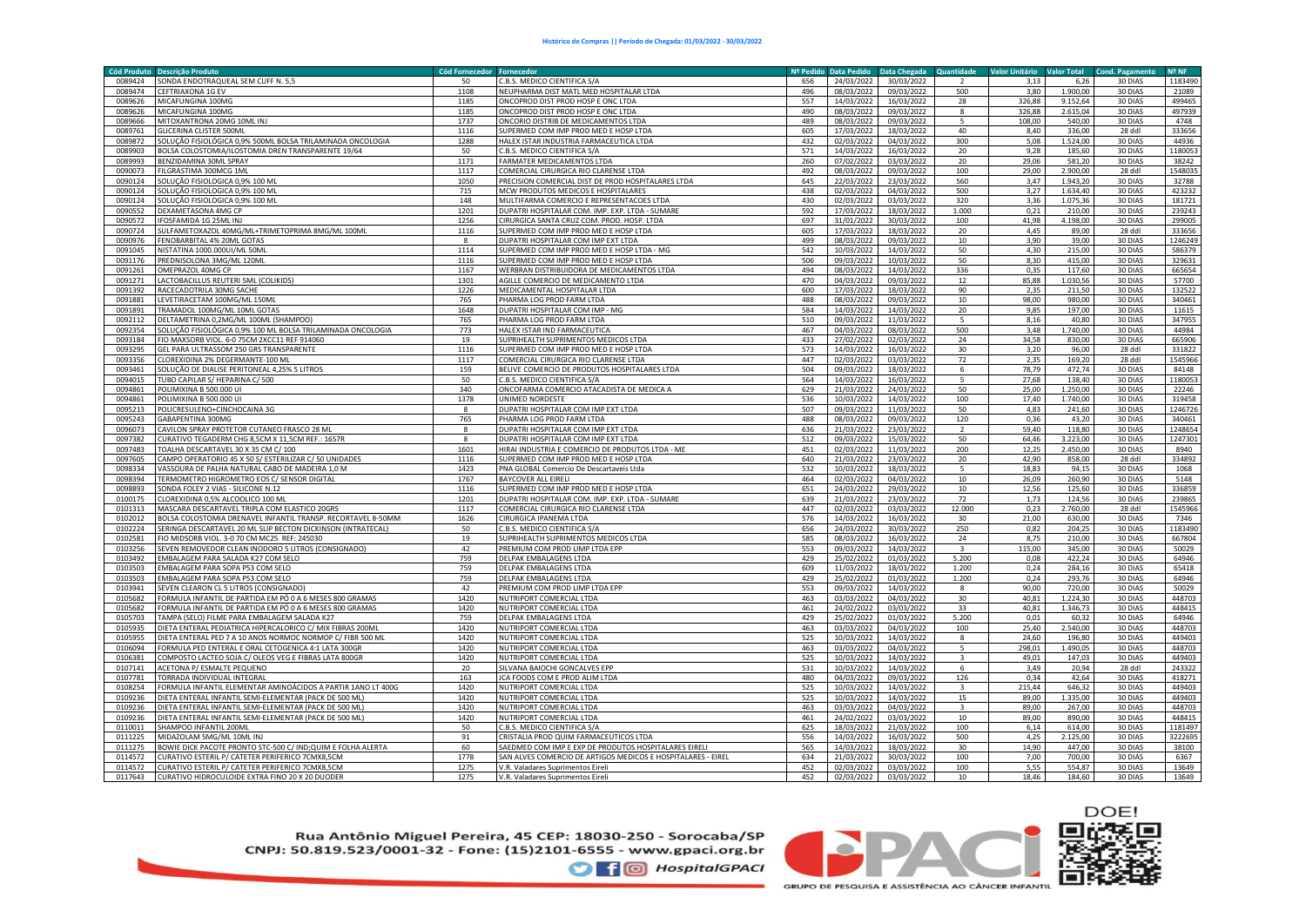| <b>Cód Produto</b><br><b>Descrição Produto</b>                                                                             | Cód Fornecedor Fornecedor |                                                                              | Nº Pedido  | <b>Data Pedido</b>       | Data Chegada             | Quantidade              | <b>Valor Unitário</b> | <b>Valor Total</b> | Cond. Pagamento    | Nº NF            |
|----------------------------------------------------------------------------------------------------------------------------|---------------------------|------------------------------------------------------------------------------|------------|--------------------------|--------------------------|-------------------------|-----------------------|--------------------|--------------------|------------------|
| 0089424<br>SONDA ENDOTRAQUEAL SEM CUFF N. 5,5                                                                              | 50                        | C.B.S. MEDICO CIENTIFICA S/A                                                 | 656        | 24/03/2022               | 30/03/2022               | $\mathcal{L}$           | 3,13                  | 6,26               | 30 DIAS            | 1183490          |
| 0089474<br>CEFTRIAXONA 1G EV                                                                                               | 1108                      | NEUPHARMA DIST MATL MED HOSPITALAR LTDA                                      | 496        | 08/03/2022               | 09/03/2022               | 500                     | 3,80                  | 1.900,00           | 30 DIAS            | 21089            |
| 0089626<br>MICAFUNGINA 100MG                                                                                               | 1185                      | ONCOPROD DIST PROD HOSP E ONC LTDA                                           | 557        | 14/03/2022               | 16/03/2022               | 28                      | 326,88                | 9.152,64           | 30 DIAS            | 499465           |
| 0089626<br>MICAFUNGINA 100MG                                                                                               | 1185                      | ONCOPROD DIST PROD HOSP E ONC LTDA                                           | 490        | 08/03/2022               | 09/03/2022               | $\mathbf{8}$            | 326,88                | 2.615,04           | 30 DIAS            | 497939           |
| 0089666<br>MITOXANTRONA 20MG 10ML INJ                                                                                      | 1737                      | ONCORIO DISTRIB DE MEDICAMENTOS LTDA                                         | 489        | 08/03/2022               | 09/03/2022               | $\mathbf{r}$            | 108.00                | 540.00             | 30 DIAS            | 4748             |
| 0089761<br>GLICERINA CLISTER 500MI                                                                                         | 1116                      | SUPERMED COM IMP PROD MED E HOSP LTDA                                        | 605        | 17/03/2022               | 18/03/2022               | 40                      | 8,40                  | 336,00             | 28 ddl             | 333656           |
| 0089872<br>SOLUÇÃO FISIOLÓGICA 0,9% 500ML BOLSA TRILAMINADA ONCOLOGIA                                                      | 1288                      | HALEX ISTAR INDUSTRIA FARMACEUTICA LTDA                                      | 432        | 02/03/2022               | 04/03/2022               | 300                     | 5,08                  | 1.524,00           | 30 DIAS            | 44936            |
| 0089903<br>BOLSA COLOSTOMIA/ILOSTOMIA DREN TRANSPARENTE 19/64                                                              | 50                        | C.B.S. MEDICO CIENTIFICA S/A                                                 | 571        | 14/03/2022               | 16/03/2022               | 20                      | 9.28                  | 185,60             | 30 DIAS            | 1180053          |
| 0089993<br>BENZIDAMINA 30ML SPRAY                                                                                          | 1171                      | FARMATER MEDICAMENTOS LTDA                                                   | 260        | 07/02/2022               | 03/03/2022               | 20                      | 29,06                 | 581,20             | 30 DIAS            | 38242            |
| 0090073<br>ILGRASTIMA 300MCG 1ML                                                                                           | 1117                      | COMERCIAL CIRURGICA RIO CLARENSE LTDA                                        | 492        | 08/03/2022               | 09/03/2022               | 100                     | 29.00                 | 2.900.00           | 28 ddl             | 1548035          |
| 0090124<br>SOLUÇÃO FISIOLOGICA 0,9% 100 ML                                                                                 | 1050                      | PRECISION COMERCIAL DIST DE PROD HOSPITALARES LTDA                           | 645        | 22/03/2022               | 23/03/2022               | 560                     | 3,47                  | 1.943,20           | 30 DIAS            | 32788            |
| 0090124<br>SOLUÇÃO FISIOLOGICA 0,9% 100 ML                                                                                 | 715                       | MCW PRODUTOS MEDICOS E HOSPITALARES                                          | 438        | 02/03/2022               | 04/03/2022               | 500                     | 3,27                  | 1.634,40           | 30 DIAS            | 423232           |
| 0090124<br>SOLUÇÃO FISIOLOGICA 0,9% 100 ML                                                                                 | 148                       | MULTIFARMA COMERCIO E REPRESENTACOES LTDA                                    | 430        | 02/03/2022               | 03/03/2022               | 320                     | 3,36                  | 1.075,36           | 30 DIAS            | 181721           |
| 0090552<br>DEXAMETASONA 4MG CP                                                                                             | 1201                      | DUPATRI HOSPITALAR COM. IMP. EXP. LTDA - SUMARE                              | 592        | 17/03/2022               | 18/03/2022               | 1.000                   | 0,21                  | 210,00             | 30 DIAS            | 239243           |
| 0090572<br>IFOSFAMIDA 1G 25ML INJ                                                                                          | 1256                      | CIRURGICA SANTA CRUZ COM. PROD. HOSP. LTDA                                   | 697        | 31/01/2022               | 30/03/2022               | 100                     | 41,98                 | 4.198,00           | 30 DIAS            | 299005           |
| 0090724<br>SULFAMETOXAZOL 40MG/ML+TRIMETOPRIMA 8MG/ML 100ML                                                                | 1116<br>$\boldsymbol{8}$  | SUPERMED COM IMP PROD MED E HOSP LTDA<br>DUPATRI HOSPITALAR COM IMP EXT LTDA | 605<br>499 | 17/03/2022               | 18/03/2022               | 20                      | 4,45<br>3.90          | 89,00              | 28 ddl             | 333656           |
| 0090976<br>FENOBARBITAL 4% 20ML GOTAS                                                                                      |                           |                                                                              |            | 08/03/2022               | 09/03/2022               | 10                      |                       | 39,00              | 30 DIAS            | 1246249          |
| NISTATINA 1000.000UI/ML 50ML<br>0091045<br>0091176                                                                         | 1114                      | SUPERMED COM IMP PROD MED E HOSP LTDA - MG                                   | 542        | 10/03/2022               | 14/03/2022               | 50<br>50                | 4,30<br>8,30          | 215,00<br>415,00   | 30 DIAS            | 586379<br>329631 |
| PREDNISOLONA 3MG/ML 120ML                                                                                                  | 1116                      | SUPERMED COM IMP PROD MED E HOSP LTDA                                        | 506        | 09/03/2022               | 10/03/2022               | 336                     | 0,35                  |                    | 30 DIAS            |                  |
| 0091261<br>OMEPRAZOL 40MG CP<br>0091271                                                                                    | 1167                      | WERBRAN DISTRIBUIDORA DE MEDICAMENTOS LTDA                                   | 494        | 08/03/2022               | 14/03/2022               |                         |                       | 117,60             | 30 DIAS            | 665654<br>57700  |
| LACTOBACILLUS REUTERI 5ML (COLIKIDS)<br>RACECADOTRILA 30MG SACHE                                                           | 1301<br>1226              | AGILLE COMERCIO DE MEDICAMENTO LTDA<br>MEDICAMENTAL HOSPITALAR LTDA          | 470<br>600 | 04/03/2022               | 09/03/2022               | 12<br>90                | 85,88<br>2,35         | 1.030,56<br>211,50 | 30 DIAS<br>30 DIAS |                  |
| 0091392<br>0091881<br>LEVETIRACETAM 100MG/ML 150ML                                                                         | 765                       | PHARMA LOG PROD FARM LTDA                                                    | 488        | 17/03/2022<br>08/03/2022 | 18/03/2022<br>09/03/2022 | 10                      | 98.00                 | 980.00             | 30 DIAS            | 132522<br>340461 |
| TRAMADOL 100MG/ML 10ML GOTAS<br>0091891                                                                                    | 1648                      | DUPATRI HOSPITALAR COM IMP - MG                                              | 584        | 14/03/2022               | 14/03/2022               |                         | 9,85                  | 197,00             | 30 DIAS            | 11615            |
|                                                                                                                            | 765                       |                                                                              |            |                          |                          | 20                      |                       |                    |                    | 347955           |
| 0092112<br>DELTAMETRINA 0,2MG/ML 100ML (SHAMPOO)<br>0092354<br>SOLUÇÃO FISIOLÓGICA 0,9% 100 ML BOLSA TRILAMINADA ONCOLOGIA | 773                       | PHARMA LOG PROD FARM LTDA<br>HALEX ISTAR IND FARMACEUTICA                    | 510<br>467 | 09/03/2022<br>04/03/2022 | 11/03/2022<br>08/03/2022 | 5<br>500                | 8,16<br>3,48          | 40,80<br>1.740,00  | 30 DIAS<br>30 DIAS | 44984            |
| 0093184<br>FIO MAXSORB VIOL. 6-0 75CM 2XCC11 REF 914060                                                                    | 19                        | SUPRIHEALTH SUPRIMENTOS MEDICOS LTDA                                         | 433        | 27/02/2022               | 02/03/2022               | 24                      | 34,58                 | 830,00             | 30 DIAS            | 665906           |
| 0093295<br>GEL PARA ULTRASSOM 250 GRS TRANSPARENTE                                                                         | 1116                      | SUPERMED COM IMP PROD MED E HOSP LTDA                                        | 573        | 14/03/2022               | 16/03/2022               | 30                      | 3,20                  | 96,00              | 28 ddl             | 331822           |
| 0093356<br>CLOREXIDINA 2% DEGERMANTE-100 MI                                                                                | 1117                      | COMERCIAL CIRURGICA RIO CLARENSE LTDA                                        | 447        | 02/03/2022               | 03/03/2022               | 72                      | 2,35                  | 169,20             | 28 ddl             | 1545966          |
| 0093461<br>SOLUÇÃO DE DIALISE PERITONEAL 4,25% 5 LITROS                                                                    | 159                       | BELIVE COMERCIO DE PRODUTOS HOSPITALARES LTDA                                | 504        | 09/03/2022               | 18/03/2022               | 6                       | 78.79                 | 472.74             | 30 DIAS            | 84148            |
| 0094015<br><b>TUBO CAPILAR S/ HEPARINA C/ 500</b>                                                                          | 50                        | C.B.S. MEDICO CIENTIFICA S/A                                                 | 564        | 14/03/2022               | 16/03/2022               |                         | 27,68                 | 138,40             | 30 DIAS            | 1180053          |
| 0094861<br>POLIMIXINA B 500.000 UI                                                                                         | 340                       | ONCOFARMA COMERCIO ATACADISTA DE MEDICA A                                    | 629        | 21/03/2022               | 24/03/2022               | 50                      | 25,00                 | 1.250,00           | 30 DIAS            | 22246            |
| 0094861<br>POLIMIXINA B 500.000 UI                                                                                         | 1378                      | UNIMED NORDESTE                                                              | 536        | 10/03/2022               | 14/03/2022               | 100                     | 17,40                 | 1.740,00           | 30 DIAS            | 319458           |
| 0095213<br>POLICRESULENO+CINCHOCAINA 3G                                                                                    | 8                         | DUPATRI HOSPITALAR COM IMP EXT LTDA                                          | 507        | 09/03/2022               | 11/03/2022               | 50                      | 4,83                  | 241,60             | 30 DIAS            | 1246726          |
| 0095243<br>GABAPENTINA 300MG                                                                                               | 765                       | PHARMA LOG PROD FARM LTDA                                                    | 488        | 08/03/2022               | 09/03/2022               | 120                     | 0.36                  | 43.20              | 30 DIAS            | 340461           |
| 0096073<br>CAVILON SPRAY PROTETOR CUTANEO FRASCO 28 ML                                                                     | 8                         | DUPATRI HOSPITALAR COM IMP EXT LTDA                                          | 636        | 21/03/2022               | 23/03/2022               |                         | 59,40                 | 118,80             | 30 DIAS            | 1248654          |
| 0097382<br>CURATIVO TEGADERM CHG 8,5CM X 11,5CM REF.: 1657R                                                                | $\boldsymbol{8}$          | DUPATRI HOSPITALAR COM IMP EXT LTDA                                          | 512        | 09/03/2022               | 15/03/2022               | 50                      | 64,46                 | 3.223,00           | 30 DIAS            | 1247301          |
| 0097483<br>TOALHA DESCARTAVEL 30 X 35 CM C/ 100                                                                            | 1601                      | HIRAI INDUSTRIA E COMERCIO DE PRODUTOS LTDA - ME                             | 451        | 02/03/2022               | 11/03/2022               | 200                     | 12,25                 | 2.450,00           | 30 DIAS            | 8940             |
| 0097605<br>CAMPO OPERATORIO 45 X 50 S/ ESTERILIZAR C/ 50 UNIDADES                                                          | 1116                      | SUPERMED COM IMP PROD MED E HOSP LTDA                                        | 640        | 21/03/2022               | 23/03/2022               | 20                      | 42,90                 | 858,00             | 28 ddl             | 334892           |
| 0098334<br>VASSOURA DE PALHA NATURAL CABO DE MADEIRA 1,0 M                                                                 | 1423                      | PNA GLOBAL Comercio De Descartaveis Ltda                                     | 532        | 10/03/2022               | 18/03/2022               | 5                       | 18,83                 | 94,15              | 30 DIAS            | 1068             |
| 0098394<br>TERMOMETRO HIGROMETRO EOS C/ SENSOR DIGITAL                                                                     | 1767                      | <b>BAYCOVER ALL EIRELI</b>                                                   | 464        | 02/03/2022               | 04/03/2022               | 10                      | 26,09                 | 260,90             | 30 DIAS            | 5148             |
| SONDA FOLEY 2 VIAS - SILICONE N.12<br>0098893                                                                              | 1116                      | SUPERMED COM IMP PROD MED E HOSP LTDA                                        | 651        | 24/03/2022               | 29/03/2022               | 10                      | 12,56                 | 125,60             | 30 DIAS            | 336859           |
| 0100175<br>CLOREXIDINA 0,5% ALCOOLICO 100 ML                                                                               | 1201                      | DUPATRI HOSPITALAR COM. IMP. EXP. LTDA - SUMARE                              | 639        | 21/03/2022               | 23/03/2022               | 72                      | 1,73                  | 124,56             | 30 DIAS            | 239865           |
| 0101313<br>MASCARA DESCARTAVEL TRIPLA COM ELASTICO 20GRS                                                                   | 1117                      | COMERCIAL CIRURGICA RIO CLARENSE LTDA                                        | 447        | 02/03/2022               | 03/03/2022               | 12,000                  | 0.23                  | 2.760,00           | 28 ddl             | 1545966          |
| BOLSA COLOSTOMIA DRENAVEL INFANTIL TRANSP. RECORTAVEL 8-50MM<br>0102012                                                    | 1626                      | CIRURGICA IPANEMA LTDA                                                       | 576        | 14/03/2022               | 16/03/2022               | 30                      | 21,00                 | 630,00             | 30 DIAS            | 7346             |
| 0102224<br>SERINGA DESCARTAVEL 20 ML SLIP BECTON DICKINSON (INTRATECAL)                                                    | 50                        | C.B.S. MEDICO CIENTIFICA S/A                                                 | 656        | 24/03/2022               | 30/03/2022               | 250                     | 0,82                  | 204,25             | 30 DIAS            | 1183490          |
| FIO MIDSORB VIOL. 3-0 70 CM MC25 REF: 245030<br>0102581                                                                    | 19                        | SUPRIHEALTH SUPRIMENTOS MEDICOS LTDA                                         | 585        | 08/03/2022               | 16/03/2022               | 24                      | 8,75                  | 210,00             | 30 DIAS            | 667804           |
| SEVEN REMOVEDOR CLEAN INODORO 5 LITROS (CONSIGNADO)<br>0103256                                                             | 42                        | PREMIUM COM PROD LIMP LTDA EPP                                               | 553        | 09/03/2022               | 14/03/2022               | $\overline{\mathbf{3}}$ | 115.00                | 345.00             | 30 DIAS            | 50029            |
| 0103492<br>EMBALAGEM PARA SALADA K27 COM SELO                                                                              | 759                       | DELPAK EMBALAGENS LTDA                                                       | 429        | 25/02/2022               | 01/03/2022               | 5.200                   | 0,08                  | 422,24             | 30 DIAS            | 64946            |
| 0103503<br>EMBALAGEM PARA SOPA P53 COM SELO                                                                                | 759                       | DELPAK EMBALAGENS LTDA                                                       | 609        | 11/03/2022               | 18/03/2022               | 1.200                   | 0,24                  | 284,16             | 30 DIAS            | 65418            |
| 0103503<br>EMBALAGEM PARA SOPA P53 COM SELO                                                                                | 759                       | DELPAK EMBALAGENS LTDA                                                       | 429        | 25/02/2022               | 01/03/2022               | 1.200                   | 0,24                  | 293,76             | 30 DIAS            | 64946            |
| 0103941<br>SEVEN CLEARON CL 5 LITROS (CONSIGNADO)                                                                          | 42                        | PREMIUM COM PROD LIMP LTDA EPP                                               | 553        | 09/03/2022               | 14/03/2022               | 8                       | 90,00                 | 720,00             | 30 DIAS            | 50029            |
| 0105682<br>FORMULA INFANTIL DE PARTIDA EM PÓ 0 A 6 MESES 800 GRAMAS                                                        | 1420                      | NUTRIPORT COMERCIAL LTDA                                                     | 463        | 03/03/2022               | 04/03/2022               | 30                      | 40.81                 | 1.224,30           | 30 DIAS            | 448703           |
| 0105682<br>FORMULA INFANTIL DE PARTIDA EM PÓ 0 A 6 MESES 800 GRAMAS                                                        | 1420                      | NUTRIPORT COMERCIAL LTDA                                                     | 461        | 24/02/2022               | 03/03/2022               | 33                      | 40.81                 | 1.346,73           | 30 DIAS            | 448415           |
| 0105703<br>TAMPA (SELO) FILME PARA EMBALAGEM SALADA K27                                                                    | 759                       | <b>DELPAK EMBALAGENS LTDA</b>                                                | 429        | 25/02/2022               | 01/03/2022               | 5.200                   | 0,01                  | 60,32              | 30 DIAS            | 64946            |
| DIETA ENTERAL PEDIATRICA HIPERCALORICO C/ MIX FIBRAS 200ML<br>0105935                                                      | 1420                      | NUTRIPORT COMERCIAL LTDA                                                     | 463        | 03/03/2022               | 04/03/2022               | 100                     | 25,40                 | 2.540,00           | 30 DIAS            | 448703           |
| DIETA ENTERAL PED 7 A 10 ANOS NORMOC NORMOP C/ FIBR 500 ML<br>0105955                                                      | 1420                      | NUTRIPORT COMERCIAL LTDA                                                     | 525        | 10/03/2022               | 14/03/2022               | $\mathbf{R}$            | 24,60                 | 196,80             | 30 DIAS            | 449403           |
| 0106094<br>FORMULA PED ENTERAL E ORAL CETOGENICA 4:1 LATA 300GR                                                            | 1420                      | NUTRIPORT COMERCIAL LTDA                                                     | 463        | 03/03/2022               | 04/03/2022               | $\overline{5}$          | 298,01                | 1.490,05           | 30 DIAS            | 448703           |
| 0106381<br>COMPOSTO LACTEO SOJA C/ OLEOS VEG E FIBRAS LATA 800GR                                                           | 1420                      | NUTRIPORT COMERCIAL LTDA                                                     | 525        | 10/03/2022               | 14/03/2022               |                         | 49,01                 | 147,03             | 30 DIAS            | 449403           |
| 0107141<br>ACETONA P/ ESMALTE PEQUENO                                                                                      | 20                        | SILVANA BAIOCHI GONCALVES EPF                                                | 531        | 10/03/2022               | 14/03/2022               | 6                       | 3,49                  | 20,94              | 28 ddl             | 243322           |
| 0107781<br><b>FORRADA INDIVIDUAL INTEGRAL</b>                                                                              | 163                       | <b>JCA FOODS COM E PROD ALIM LTDA</b>                                        | 480        | 04/03/2022               | 09/03/2022               | 126                     | 0,34                  | 42,64              | 30 DIAS            | 418271           |
| 0108254<br>FORMULA INFANTIL ELEMENTAR AMINOÁCIDOS A PARTIR 1ANO LT 400G                                                    | 1420                      | NUTRIPORT COMERCIAL LTDA                                                     | 525        | 10/03/2022               | 14/03/2022               |                         | 215,44                | 646.32             | 30 DIAS            | 449403           |
| DIETA ENTERAL INFANTIL SEMI-ELEMENTAR (PACK DE 500 ML)<br>0109236                                                          | 1420                      | NUTRIPORT COMERCIAL LTDA                                                     | 525        | 10/03/2022               | 14/03/2022               | 15                      | 89,00                 | 1.335,00           | 30 DIAS            | 449403           |
| 0109236<br>DIETA ENTERAL INFANTIL SEMI-ELEMENTAR (PACK DE 500 ML)                                                          | 1420                      | NUTRIPORT COMERCIAL LTDA                                                     | 463        | 03/03/2022               | 04/03/2022               | $\mathbf{3}$            | 89,00                 | 267,00             | 30 DIAS            | 448703           |
| DIETA ENTERAL INFANTIL SEMI-ELEMENTAR (PACK DE 500 ML)<br>0109236                                                          | 1420                      | NUTRIPORT COMERCIAL LTDA                                                     | 461        | 24/02/2022               | 03/03/2022               | 10                      | 89,00                 | 890,00             | 30 DIAS            | 448415           |
| 0110011<br>SHAMPOO INFANTIL 200ML                                                                                          | 50                        | C.B.S. MEDICO CIENTIFICA S/A                                                 | 625        | 18/03/2022               | 21/03/2022               | 100                     | 6,14                  | 614,00             | 30 DIAS            | 1181497          |
| 0111225<br>MIDAZOLAM 5MG/ML 10ML INJ                                                                                       | 91                        | CRISTALIA PROD QUIM FARMACEUTICOS LTDA                                       | 556        | 14/03/2022               | 16/03/2022               | 500                     | 4,25                  | 125,00             | 30 DIAS            | 3222695          |
| BOWIE DICK PACOTE PRONTO STC-500 C/ IND;QUIM E FOLHA ALERTA<br>0111275                                                     | 60                        | SAEDMED COM IMP E EXP DE PRODUTOS HOSPITALARES EIRELI                        | 565        | 14/03/2022               | 18/03/2022               | 30                      | 14,90                 | 447,00             | 30 DIAS            | 38100            |
| CURATIVO ESTERIL P/ CATETER PERIFERICO 7CMX8,5CM<br>0114572                                                                | 1778                      | SAN ALVES COMERCIO DE ARTIGOS MEDICOS E HOSPITALARES - EIREL                 | 634        | 21/03/2022               | 30/03/2022               | 100                     | 7,00                  | 700,00             | 30 DIAS            | 6367             |
| CURATIVO ESTERIL P/ CATETER PERIFERICO 7CMX8,5CM<br>0114572                                                                | 1275                      | V.R. Valadares Suprimentos Eireli                                            | 452        | 02/03/2022               | 03/03/2022               | 100                     | 5,55                  | 554,87             | 30 DIAS            | 13649            |
| 0117643<br>CURATIVO HIDROCULOIDE EXTRA FINO 20 X 20 DUODER                                                                 | 1275                      | V.R. Valadares Suprimentos Eireli                                            | 452        | 02/03/2022               | 03/03/2022               | 10                      | 18.46                 | 184,60             | 30 DIAS            | 13649            |

Rua Antônio Miguel Pereira, 45 CEP: 18030-250 - Sorocaba/SP CNPJ: 50.819.523/0001-32 - Fone: (15)2101-6555 - www.gpaci.org.br

**O** f © HospitalGPACI